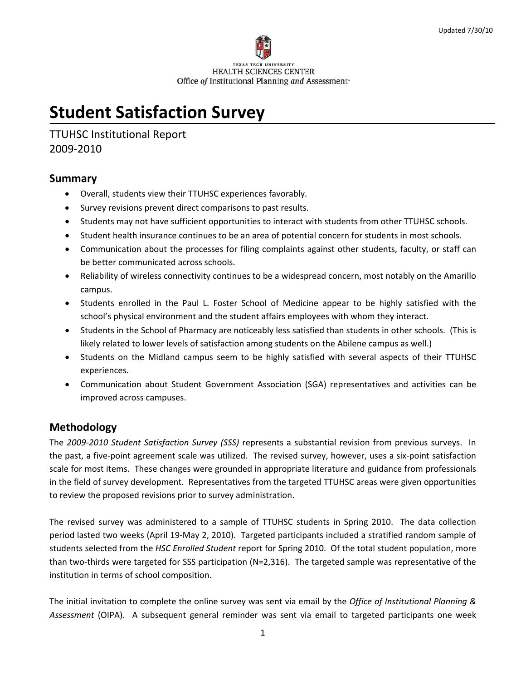

# **Student Satisfaction Survey**

TTUHSC Institutional Report 2009‐2010

#### **Summary**

- Overall, students view their TTUHSC experiences favorably.
- Survey revisions prevent direct comparisons to past results.
- Students may not have sufficient opportunities to interact with students from other TTUHSC schools.
- Student health insurance continues to be an area of potential concern for students in most schools.
- Communication about the processes for filing complaints against other students, faculty, or staff can be better communicated across schools.
- Reliability of wireless connectivity continues to be a widespread concern, most notably on the Amarillo campus.
- Students enrolled in the Paul L. Foster School of Medicine appear to be highly satisfied with the school's physical environment and the student affairs employees with whom they interact.
- Students in the School of Pharmacy are noticeably less satisfied than students in other schools. (This is likely related to lower levels of satisfaction among students on the Abilene campus as well.)
- Students on the Midland campus seem to be highly satisfied with several aspects of their TTUHSC experiences.
- Communication about Student Government Association (SGA) representatives and activities can be improved across campuses.

#### **Methodology**

The *2009‐2010 Student Satisfaction Survey (SSS)* represents a substantial revision from previous surveys. In the past, a five‐point agreement scale was utilized. The revised survey, however, uses a six‐point satisfaction scale for most items. These changes were grounded in appropriate literature and guidance from professionals in the field of survey development. Representatives from the targeted TTUHSC areas were given opportunities to review the proposed revisions prior to survey administration.

The revised survey was administered to a sample of TTUHSC students in Spring 2010. The data collection period lasted two weeks (April 19‐May 2, 2010). Targeted participants included a stratified random sample of students selected from the *HSC Enrolled Student* report for Spring 2010. Of the total student population, more than two-thirds were targeted for SSS participation (N=2,316). The targeted sample was representative of the institution in terms of school composition.

The initial invitation to complete the online survey was sent via email by the *Office of Institutional Planning & Assessment* (OIPA). A subsequent general reminder was sent via email to targeted participants one week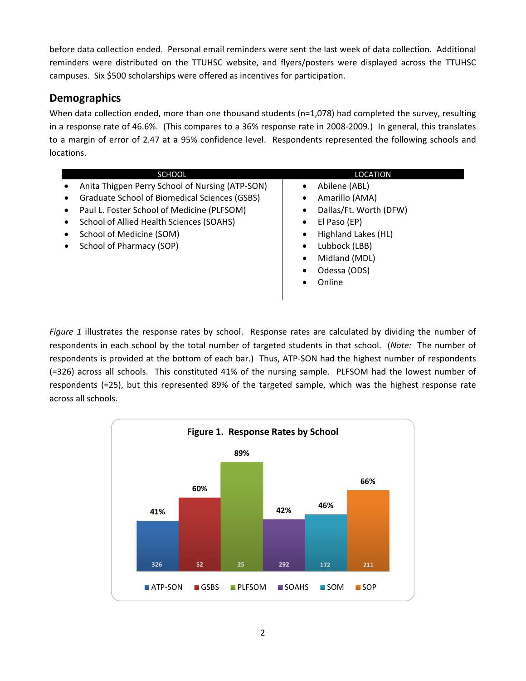before data collection ended. Personal email reminders were sent the last week of data collection. Additional reminders were distributed on the TTUHSC website, and flyers/posters were displayed across the TTUHSC campuses. Six \$500 scholarships were offered as incentives for participation.

# **Demographics**

When data collection ended, more than one thousand students (n=1,078) had completed the survey, resulting in a response rate of 46.6%. (This compares to a 36% response rate in 2008‐2009.) In general, this translates to a margin of error of 2.47 at a 95% confidence level. Respondents represented the following schools and locations.

| <b>SCHOOL</b>                                      | <b>LOCATION</b>                  |
|----------------------------------------------------|----------------------------------|
| Anita Thigpen Perry School of Nursing (ATP-SON)    | Abilene (ABL)                    |
| Graduate School of Biomedical Sciences (GSBS)<br>٠ | Amarillo (AMA)                   |
| Paul L. Foster School of Medicine (PLFSOM)<br>٠    | Dallas/Ft. Worth (DFW)           |
| School of Allied Health Sciences (SOAHS)<br>٠      | El Paso (EP)<br>$\bullet$        |
| School of Medicine (SOM)<br>٠                      | Highland Lakes (HL)<br>$\bullet$ |
| School of Pharmacy (SOP)<br>٠                      | Lubbock (LBB)<br>$\bullet$       |
|                                                    | Midland (MDL)<br>$\bullet$       |
|                                                    | Odessa (ODS)                     |
|                                                    | Online                           |
|                                                    |                                  |

*Figure 1* illustrates the response rates by school. Response rates are calculated by dividing the number of respondents in each school by the total number of targeted students in that school. (*Note:* The number of respondents is provided at the bottom of each bar.) Thus, ATP‐SON had the highest number of respondents (=326) across all schools. This constituted 41% of the nursing sample. PLFSOM had the lowest number of respondents (=25), but this represented 89% of the targeted sample, which was the highest response rate across all schools.

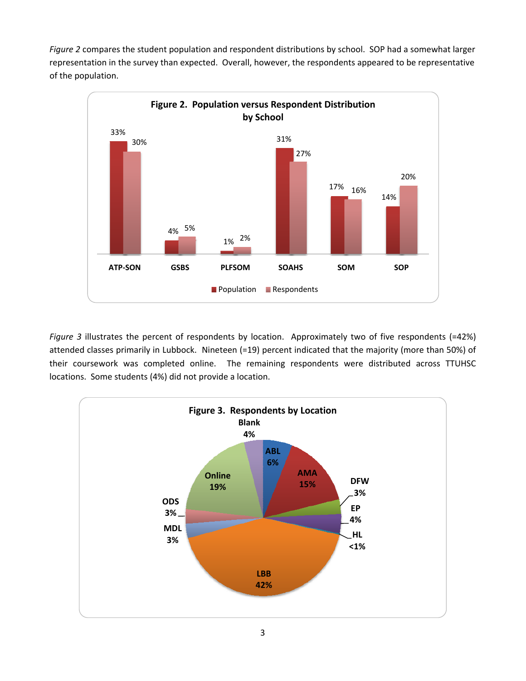*Figure 2* compares the student population and respondent distributions by school. SOP had a somewhat larger representation in the survey than expected. Overall, however, the respondents appeared to be representative of the population.



*Figure 3* illustrates the percent of respondents by location. Approximately two of five respondents (=42%) attended classes primarily in Lubbock. Nineteen (=19) percent indicated that the majority (more than 50%) of their coursework was completed online. The remaining respondents were distributed across TTUHSC locations. Some students (4%) did not provide a location.

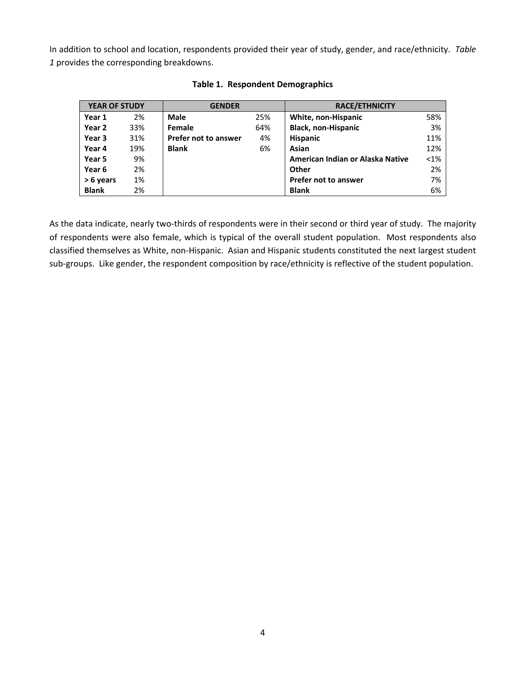In addition to school and location, respondents provided their year of study, gender, and race/ethnicity. *Table 1* provides the corresponding breakdowns.

| <b>YEAR OF STUDY</b> |     | <b>GENDER</b>        |     | <b>RACE/ETHNICITY</b>            |         |
|----------------------|-----|----------------------|-----|----------------------------------|---------|
| Year 1               | 2%  | <b>Male</b>          | 25% | White, non-Hispanic              | 58%     |
| Year 2               | 33% | Female               | 64% | <b>Black, non-Hispanic</b>       | 3%      |
| Year 3               | 31% | Prefer not to answer | 4%  | <b>Hispanic</b>                  | 11%     |
| Year 4               | 19% | <b>Blank</b>         | 6%  | Asian                            | 12%     |
| Year 5               | 9%  |                      |     | American Indian or Alaska Native | $< 1\%$ |
| Year 6               | 2%  |                      |     | Other                            | 2%      |
| > 6 years            | 1%  |                      |     | <b>Prefer not to answer</b>      | 7%      |
| <b>Blank</b>         | 2%  |                      |     | <b>Blank</b>                     | 6%      |

**Table 1. Respondent Demographics**

As the data indicate, nearly two-thirds of respondents were in their second or third year of study. The majority of respondents were also female, which is typical of the overall student population. Most respondents also classified themselves as White, non‐Hispanic. Asian and Hispanic students constituted the next largest student sub‐groups. Like gender, the respondent composition by race/ethnicity is reflective of the student population.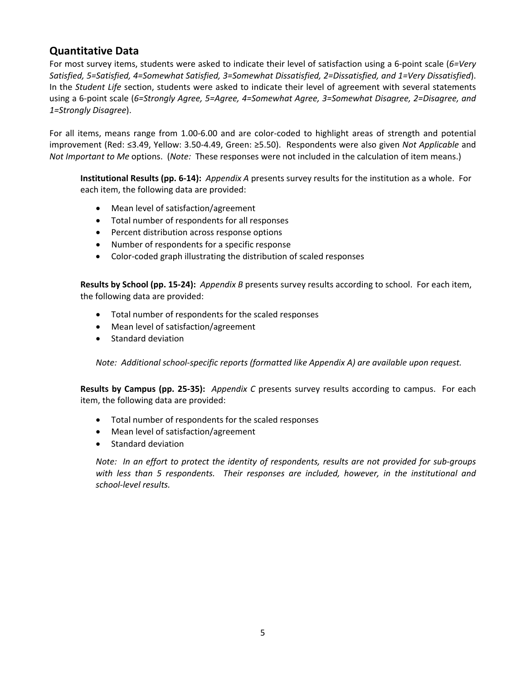# **Quantitative Data**

For most survey items, students were asked to indicate their level of satisfaction using a 6‐point scale (*6=Very Satisfied, 5=Satisfied, 4=Somewhat Satisfied, 3=Somewhat Dissatisfied, 2=Dissatisfied, and 1=Very Dissatisfied*). In the *Student Life* section, students were asked to indicate their level of agreement with several statements using a 6‐point scale (*6=Strongly Agree, 5=Agree, 4=Somewhat Agree, 3=Somewhat Disagree, 2=Disagree, and 1=Strongly Disagree*).

For all items, means range from 1.00‐6.00 and are color‐coded to highlight areas of strength and potential improvement (Red: ≤3.49, Yellow: 3.50‐4.49, Green: ≥5.50). Respondents were also given *Not Applicable* and *Not Important to Me* options. (*Note:* These responses were not included in the calculation of item means.)

**Institutional Results (pp. 6‐14):** *Appendix A* presents survey results for the institution as a whole. For each item, the following data are provided:

- Mean level of satisfaction/agreement
- Total number of respondents for all responses
- Percent distribution across response options
- Number of respondents for a specific response
- Color‐coded graph illustrating the distribution of scaled responses

**Results by School (pp. 15‐24):** *Appendix B* presents survey results according to school. For each item, the following data are provided:

- Total number of respondents for the scaled responses
- Mean level of satisfaction/agreement
- Standard deviation

*Note:**Additional school‐specific reports (formatted like Appendix A) are available upon request.*

**Results by Campus (pp. 25‐35):** *Appendix C* presents survey results according to campus. For each item, the following data are provided:

- Total number of respondents for the scaled responses
- Mean level of satisfaction/agreement
- Standard deviation

Note: In an effort to protect the identity of respondents, results are not provided for sub-groups *with less than 5 respondents. Their responses are included, however, in the institutional and school‐level results.*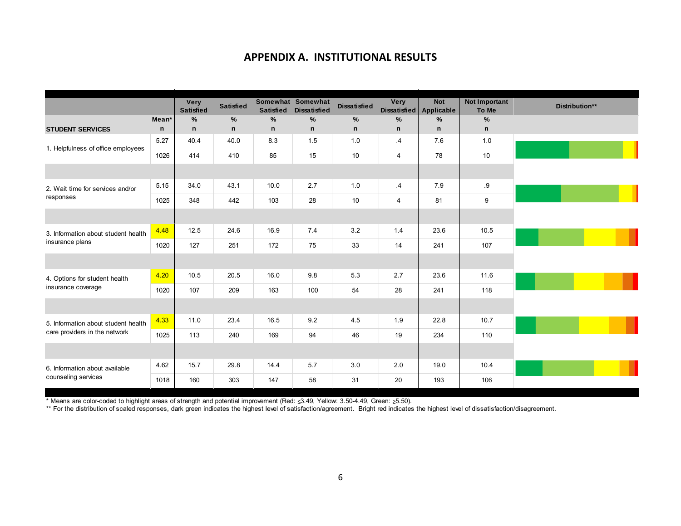#### **APPENDIX A. INSTITUTIONAL RESULTS**

|                                     |                   | <b>Very</b><br><b>Satisfied</b> | <b>Satisfied</b> | <b>Satisfied</b> | Somewhat Somewhat<br><b>Dissatisfied</b> | <b>Dissatisfied</b> | Very<br><b>Dissatisfied</b> | <b>Not</b><br><b>Applicable</b> | Not Important<br>To Me | Distribution** |
|-------------------------------------|-------------------|---------------------------------|------------------|------------------|------------------------------------------|---------------------|-----------------------------|---------------------------------|------------------------|----------------|
|                                     | Mean <sup>*</sup> | $\%$                            | $\%$             | $\%$             | $\%$                                     | %                   | %                           | $\frac{9}{6}$                   | %                      |                |
| <b>STUDENT SERVICES</b>             | $\mathsf{n}$      | n                               | $\mathsf{n}$     | $\mathsf{n}$     | $\mathsf{n}$                             | $\mathsf{n}$        | $\mathsf{n}$                | $\mathsf{n}$                    | $\mathsf{n}$           |                |
| 1. Helpfulness of office employees  | 5.27              | 40.4                            | 40.0             | 8.3              | 1.5                                      | 1.0                 | $\cdot$                     | 7.6                             | 1.0                    |                |
|                                     | 1026              | 414                             | 410              | 85               | 15                                       | 10                  | 4                           | 78                              | 10                     |                |
|                                     |                   |                                 |                  |                  |                                          |                     |                             |                                 |                        |                |
| 2. Wait time for services and/or    | 5.15              | 34.0                            | 43.1             | 10.0             | 2.7                                      | 1.0                 | $\cdot$                     | 7.9                             | .9                     |                |
| responses                           | 1025              | 348                             | 442              | 103              | 28                                       | 10                  | 4                           | 81                              | 9                      |                |
|                                     |                   |                                 |                  |                  |                                          |                     |                             |                                 |                        |                |
| 3. Information about student health | 4.48              | 12.5                            | 24.6             | 16.9             | 7.4                                      | 3.2                 | 1.4                         | 23.6                            | 10.5                   |                |
| insurance plans                     | 1020              | 127                             | 251              | 172              | 75                                       | 33                  | 14                          | 241                             | 107                    |                |
|                                     |                   |                                 |                  |                  |                                          |                     |                             |                                 |                        |                |
| 4. Options for student health       | 4.20              | 10.5                            | 20.5             | 16.0             | 9.8                                      | 5.3                 | 2.7                         | 23.6                            | 11.6                   |                |
| insurance coverage                  | 1020              | 107                             | 209              | 163              | 100                                      | 54                  | 28                          | 241                             | 118                    |                |
|                                     |                   |                                 |                  |                  |                                          |                     |                             |                                 |                        |                |
| 5. Information about student health | 4.33              | 11.0                            | 23.4             | 16.5             | 9.2                                      | 4.5                 | 1.9                         | 22.8                            | 10.7                   |                |
| care providers in the network       | 1025              | 113                             | 240              | 169              | 94                                       | 46                  | 19                          | 234                             | 110                    |                |
|                                     |                   |                                 |                  |                  |                                          |                     |                             |                                 |                        |                |
| 6. Information about available      | 4.62              | 15.7                            | 29.8             | 14.4             | 5.7                                      | 3.0                 | 2.0                         | 19.0                            | 10.4                   |                |
| counseling services                 | 1018              | 160                             | 303              | 147              | 58                                       | 31                  | 20                          | 193                             | 106                    |                |

\* Means are color-coded to highlight areas of strength and potential improvement (Red: ≤3.49, Yellow: 3.50-4.49, Green: ≥5.50).

\*\* For the distribution of scaled responses, dark green indicates the highest level of satisfaction/agreement. Bright red indicates the highest level of dissatisfaction/disagreement.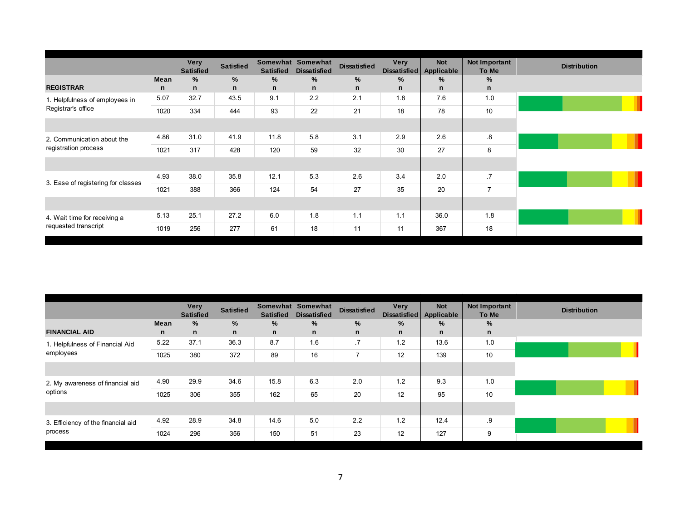|                                    |      | Very<br><b>Satisfied</b> | <b>Satisfied</b> | <b>Satisfied</b> | Somewhat Somewhat<br><b>Dissatisfied</b> | <b>Dissatisfied</b> | Very<br><b>Dissatisfied</b> | <b>Not</b><br>Applicable | Not Important<br>To Me | <b>Distribution</b> |
|------------------------------------|------|--------------------------|------------------|------------------|------------------------------------------|---------------------|-----------------------------|--------------------------|------------------------|---------------------|
|                                    | Mean | %                        | %                | %                | %                                        | %                   | $\%$                        | %                        | %                      |                     |
| <b>REGISTRAR</b>                   | n    | n                        | n                | n                | n                                        | n                   | n                           | n                        | n                      |                     |
| 1. Helpfulness of employees in     | 5.07 | 32.7                     | 43.5             | 9.1              | 2.2                                      | 2.1                 | 1.8                         | 7.6                      | 1.0                    |                     |
| Registrar's office                 | 1020 | 334                      | 444              | 93               | 22                                       | 21                  | 18                          | 78                       | 10                     |                     |
|                                    |      |                          |                  |                  |                                          |                     |                             |                          |                        |                     |
| 2. Communication about the         | 4.86 | 31.0                     | 41.9             | 11.8             | 5.8                                      | 3.1                 | 2.9                         | 2.6                      | .8                     |                     |
| registration process               | 1021 | 317                      | 428              | 120              | 59                                       | 32                  | 30                          | 27                       | 8                      |                     |
|                                    |      |                          |                  |                  |                                          |                     |                             |                          |                        |                     |
| 3. Ease of registering for classes | 4.93 | 38.0                     | 35.8             | 12.1             | 5.3                                      | 2.6                 | 3.4                         | 2.0                      | .7                     |                     |
|                                    | 1021 | 388                      | 366              | 124              | 54                                       | 27                  | 35                          | 20                       | $\overline{7}$         |                     |
|                                    |      |                          |                  |                  |                                          |                     |                             |                          |                        |                     |
| 4. Wait time for receiving a       | 5.13 | 25.1                     | 27.2             | 6.0              | 1.8                                      | 1.1                 | 1.1                         | 36.0                     | 1.8                    |                     |
| requested transcript               | 1019 | 256                      | 277              | 61               | 18                                       | 11                  | 11                          | 367                      | 18                     |                     |

|                                    |             | <b>Very</b><br><b>Satisfied</b> | <b>Satisfied</b> | <b>Satisfied</b> | Somewhat Somewhat<br><b>Dissatisfied</b> | <b>Dissatisfied</b> | Very<br><b>Dissatisfied</b> | <b>Not</b><br>Applicable | Not Important<br>To Me |
|------------------------------------|-------------|---------------------------------|------------------|------------------|------------------------------------------|---------------------|-----------------------------|--------------------------|------------------------|
|                                    | Mean        | %                               | %                | %                | %                                        | %                   | $\frac{9}{6}$               | %                        | $\%$                   |
| <b>FINANCIAL AID</b>               | $\mathbf n$ | n                               | $\mathsf{n}$     | $\mathbf n$      | n                                        | n                   | n                           | n                        | $\mathsf{n}$           |
| 1. Helpfulness of Financial Aid    | 5.22        | 37.1                            | 36.3             | 8.7              | 1.6                                      | .7                  | 1.2                         | 13.6                     | 1.0                    |
| employees                          | 1025        | 380                             | 372              | 89               | 16                                       | $\overline{7}$      | 12                          | 139                      | 10                     |
|                                    |             |                                 |                  |                  |                                          |                     |                             |                          |                        |
| 2. My awareness of financial aid   | 4.90        | 29.9                            | 34.6             | 15.8             | 6.3                                      | 2.0                 | 1.2                         | 9.3                      | 1.0                    |
| options                            | 1025        | 306                             | 355              | 162              | 65                                       | 20                  | 12                          | 95                       | 10                     |
|                                    |             |                                 |                  |                  |                                          |                     |                             |                          |                        |
| 3. Efficiency of the financial aid | 4.92        | 28.9                            | 34.8             | 14.6             | 5.0                                      | 2.2                 | 1.2                         | 12.4                     | .9                     |
| process                            | 1024        | 296                             | 356              | 150              | 51                                       | 23                  | 12                          | 127                      | 9                      |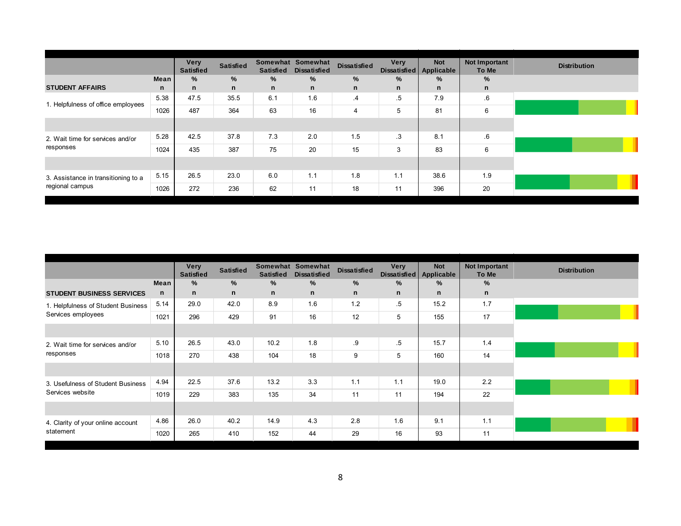|                                     |      | <b>Very</b><br><b>Satisfied</b> | <b>Satisfied</b> | <b>Satisfied</b> | Somewhat Somewhat<br><b>Dissatisfied</b> | <b>Dissatisfied</b> | <b>Very</b><br>Dissatisfied | <b>Not</b><br>Applicable | <b>Not Important</b><br>To Me | <b>Distribution</b> |
|-------------------------------------|------|---------------------------------|------------------|------------------|------------------------------------------|---------------------|-----------------------------|--------------------------|-------------------------------|---------------------|
|                                     | Mean | %                               | %                | %                | $\%$                                     | %                   | %                           | $\frac{9}{6}$            | %                             |                     |
| <b>STUDENT AFFAIRS</b>              | n.   | n.                              | n                | n                | n                                        | n                   | n                           | $\mathsf{n}$             | n                             |                     |
|                                     | 5.38 | 47.5                            | 35.5             | 6.1              | 1.6                                      | .4                  | $.5\,$                      | 7.9                      | .6                            |                     |
| 1. Helpfulness of office employees  | 1026 | 487                             | 364              | 63               | 16                                       | 4                   | 5                           | 81                       | 6                             |                     |
|                                     |      |                                 |                  |                  |                                          |                     |                             |                          |                               |                     |
| 2. Wait time for services and/or    | 5.28 | 42.5                            | 37.8             | 7.3              | 2.0                                      | 1.5                 | .3                          | 8.1                      | 6.6                           |                     |
| responses                           | 1024 | 435                             | 387              | 75               | 20                                       | 15                  | 3                           | 83                       | 6                             |                     |
|                                     |      |                                 |                  |                  |                                          |                     |                             |                          |                               |                     |
| 3. Assistance in transitioning to a | 5.15 | 26.5                            | 23.0             | 6.0              | 1.1                                      | 1.8                 | 1.1                         | 38.6                     | 1.9                           |                     |
| regional campus                     | 1026 | 272                             | 236              | 62               | 11                                       | 18                  | 11                          | 396                      | 20                            |                     |

|                                               |      | <b>Very</b><br><b>Satisfied</b> | <b>Satisfied</b> | <b>Satisfied</b> | Somewhat Somewhat<br><b>Dissatisfied</b> | <b>Dissatisfied</b> | Very<br>Dissatisfied | <b>Not</b><br>Applicable | Not Important<br>To Me |
|-----------------------------------------------|------|---------------------------------|------------------|------------------|------------------------------------------|---------------------|----------------------|--------------------------|------------------------|
|                                               | Mean | %                               | %                | $\%$             | $\%$                                     | %                   | %                    | %                        | $\%$                   |
| <b>STUDENT BUSINESS SERVICES</b>              | n    | n                               | n                | n                | n                                        | n                   | n                    | n                        | $\mathsf{n}$           |
| 1. Helpfulness of Student Business            | 5.14 | 29.0                            | 42.0             | 8.9              | 1.6                                      | 1.2                 | $.5\,$               | 15.2                     | 1.7                    |
| Services employees                            | 1021 | 296                             | 429              | 91               | 16                                       | 12                  | 5                    | 155                      | 17                     |
|                                               |      |                                 |                  |                  |                                          |                     |                      |                          |                        |
| 2. Wait time for services and/or<br>responses | 5.10 | 26.5                            | 43.0             | 10.2             | 1.8                                      | .9                  | .5                   | 15.7                     | 1.4                    |
|                                               | 1018 | 270                             | 438              | 104              | 18                                       | 9                   | 5                    | 160                      | 14                     |
|                                               |      |                                 |                  |                  |                                          |                     |                      |                          |                        |
| 3. Usefulness of Student Business             | 4.94 | 22.5                            | 37.6             | 13.2             | 3.3                                      | 1.1                 | 1.1                  | 19.0                     | 2.2                    |
| Services website                              | 1019 | 229                             | 383              | 135              | 34                                       | 11                  | 11                   | 194                      | 22                     |
|                                               |      |                                 |                  |                  |                                          |                     |                      |                          |                        |
| 4. Clarity of your online account             | 4.86 | 26.0                            | 40.2             | 14.9             | 4.3                                      | 2.8                 | 1.6                  | 9.1                      | 1.1                    |
| statement                                     | 1020 | 265                             | 410              | 152              | 44                                       | 29                  | 16                   | 93                       | 11                     |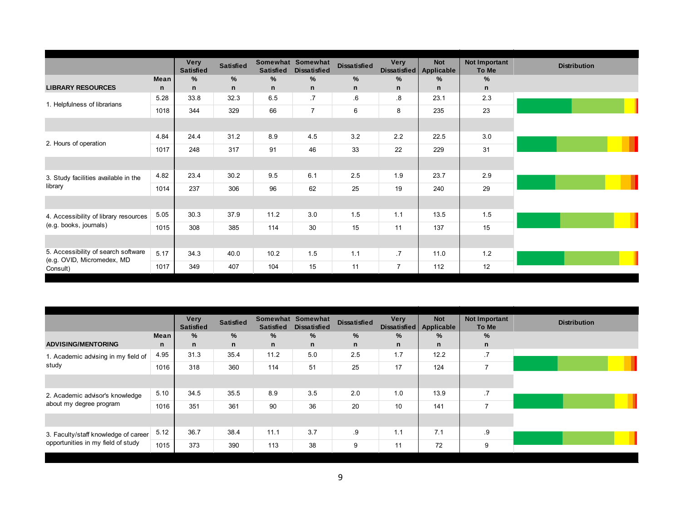|                                                                   |      | <b>Very</b><br><b>Satisfied</b> | <b>Satisfied</b> | <b>Satisfied</b> | Somewhat Somewhat<br><b>Dissatisfied</b> | <b>Dissatisfied</b> | Very<br>Dissatisfied | <b>Not</b><br>Applicable | Not Important<br>To Me | <b>Distribution</b> |
|-------------------------------------------------------------------|------|---------------------------------|------------------|------------------|------------------------------------------|---------------------|----------------------|--------------------------|------------------------|---------------------|
|                                                                   | Mean | %                               | %                | $\%$             | %                                        | %                   | %                    | %                        | %                      |                     |
| <b>LIBRARY RESOURCES</b>                                          | n    | $\mathsf{n}$                    | n.               | $\mathsf{n}$     | $\mathbf n$                              | $\mathsf{n}$        | $\mathbf n$          | n                        | n                      |                     |
| 1. Helpfulness of librarians                                      | 5.28 | 33.8                            | 32.3             | 6.5              | .7                                       | 6.6                 | .8                   | 23.1                     | 2.3                    |                     |
|                                                                   | 1018 | 344                             | 329              | 66               | $\overline{7}$                           | 6                   | 8                    | 235                      | 23                     |                     |
|                                                                   |      |                                 |                  |                  |                                          |                     |                      |                          |                        |                     |
| 2. Hours of operation                                             | 4.84 | 24.4                            | 31.2             | 8.9              | 4.5                                      | 3.2                 | 2.2                  | 22.5                     | 3.0                    |                     |
|                                                                   | 1017 | 248                             | 317              | 91               | 46                                       | 33                  | 22                   | 229                      | 31                     |                     |
|                                                                   |      |                                 |                  |                  |                                          |                     |                      |                          |                        |                     |
| 3. Study facilities available in the                              | 4.82 | 23.4                            | 30.2             | 9.5              | 6.1                                      | 2.5                 | 1.9                  | 23.7                     | 2.9                    |                     |
| library                                                           | 1014 | 237                             | 306              | 96               | 62                                       | 25                  | 19                   | 240                      | 29                     |                     |
|                                                                   |      |                                 |                  |                  |                                          |                     |                      |                          |                        |                     |
| 4. Accessibility of library resources                             | 5.05 | 30.3                            | 37.9             | 11.2             | 3.0                                      | 1.5                 | 1.1                  | 13.5                     | 1.5                    |                     |
| (e.g. books, journals)                                            | 1015 | 308                             | 385              | 114              | 30                                       | 15                  | 11                   | 137                      | 15                     |                     |
|                                                                   |      |                                 |                  |                  |                                          |                     |                      |                          |                        |                     |
| 5. Accessibility of search software<br>(e.g. OVID, Micromedex, MD | 5.17 | 34.3                            | 40.0             | 10.2             | 1.5                                      | 1.1                 | .7                   | 11.0                     | 1.2                    |                     |
| Consult)                                                          | 1017 | 349                             | 407              | 104              | 15                                       | 11                  | $\overline{7}$       | 112                      | 12                     |                     |

|                                      |              | <b>Very</b><br><b>Satisfied</b> | <b>Satisfied</b> | <b>Satisfied</b> | Somewhat Somewhat<br><b>Dissatisfied</b> | <b>Dissatisfied</b> | <b>Very</b><br><b>Dissatisfied</b> | <b>Not</b><br>Applicable | Not Important<br>To Me | <b>Distribution</b> |
|--------------------------------------|--------------|---------------------------------|------------------|------------------|------------------------------------------|---------------------|------------------------------------|--------------------------|------------------------|---------------------|
|                                      | Mean         | %                               | %                | $\%$             | $\%$                                     | %                   | %                                  | %                        | %                      |                     |
| <b>ADVISING/MENTORING</b>            | $\mathsf{n}$ | n.                              | $\mathsf{n}$     | $\mathsf{n}$     | n.                                       | n                   | n                                  | n.                       | n                      |                     |
| 1. Academic advising in my field of  | 4.95         | 31.3                            | 35.4             | 11.2             | 5.0                                      | 2.5                 | 1.7                                | 12.2                     | .7                     |                     |
| study                                | 1016         | 318                             | 360              | 114              | 51                                       | 25                  | 17                                 | 124                      | $\overline{7}$         |                     |
|                                      |              |                                 |                  |                  |                                          |                     |                                    |                          |                        |                     |
| 2. Academic advisor's knowledge      | 5.10         | 34.5                            | 35.5             | 8.9              | 3.5                                      | 2.0                 | 1.0                                | 13.9                     | .7                     |                     |
| about my degree program              | 1016         | 351                             | 361              | 90               | 36                                       | 20                  | 10                                 | 141                      | $\overline{ }$         |                     |
|                                      |              |                                 |                  |                  |                                          |                     |                                    |                          |                        |                     |
| 3. Faculty/staff knowledge of career | 5.12         | 36.7                            | 38.4             | 11.1             | 3.7                                      | .9                  | 1.1                                | 7.1                      | .9                     |                     |
| opportunities in my field of study   | 1015         | 373                             | 390              | 113              | 38                                       | 9                   | 11                                 | 72                       | 9                      |                     |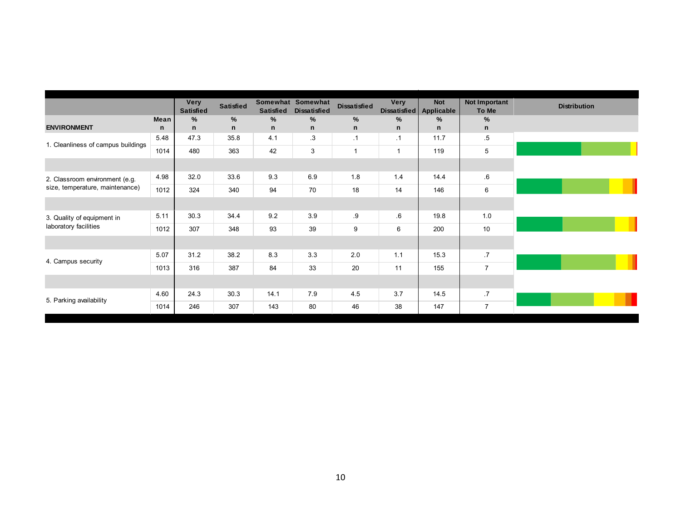|                                    |      | <b>Very</b><br><b>Satisfied</b> | <b>Satisfied</b> | <b>Satisfied</b> | Somewhat Somewhat<br><b>Dissatisfied</b> | <b>Dissatisfied</b> | Very<br>Dissatisfied | <b>Not</b><br>Applicable | Not Important<br>To Me | <b>Distribution</b> |
|------------------------------------|------|---------------------------------|------------------|------------------|------------------------------------------|---------------------|----------------------|--------------------------|------------------------|---------------------|
|                                    | Mean | %                               | %                | %                | %                                        | %                   | $\frac{9}{6}$        | $\frac{9}{6}$            | %                      |                     |
| <b>ENVIRONMENT</b>                 | n    | $\mathbf n$                     | n                | n                | n                                        | $\mathsf{n}$        | $\mathbf n$          | n                        | n                      |                     |
| 1. Cleanliness of campus buildings | 5.48 | 47.3                            | 35.8             | 4.1              | .3                                       | .1                  | $\cdot$ 1            | 11.7                     | $.5\,$                 |                     |
|                                    | 1014 | 480                             | 363              | 42               | 3                                        | $\overline{1}$      | $\mathbf{1}$         | 119                      | 5                      |                     |
|                                    |      |                                 |                  |                  |                                          |                     |                      |                          |                        |                     |
| 2. Classroom environment (e.g.     | 4.98 | 32.0                            | 33.6             | 9.3              | 6.9                                      | 1.8                 | 1.4                  | 14.4                     | .6                     |                     |
| size, temperature, maintenance)    | 1012 | 324                             | 340              | 94               | 70                                       | 18                  | 14                   | 146                      | 6                      |                     |
|                                    |      |                                 |                  |                  |                                          |                     |                      |                          |                        |                     |
| 3. Quality of equipment in         | 5.11 | 30.3                            | 34.4             | 9.2              | 3.9                                      | .9                  | .6                   | 19.8                     | 1.0                    |                     |
| laboratory facilities              | 1012 | 307                             | 348              | 93               | 39                                       | 9                   | 6                    | 200                      | 10                     |                     |
|                                    |      |                                 |                  |                  |                                          |                     |                      |                          |                        |                     |
| 4. Campus security                 | 5.07 | 31.2                            | 38.2             | 8.3              | 3.3                                      | 2.0                 | 1.1                  | 15.3                     | .7                     |                     |
|                                    | 1013 | 316                             | 387              | 84               | 33                                       | 20                  | 11                   | 155                      | $\overline{7}$         |                     |
|                                    |      |                                 |                  |                  |                                          |                     |                      |                          |                        |                     |
| 5. Parking availability            | 4.60 | 24.3                            | 30.3             | 14.1             | 7.9                                      | 4.5                 | 3.7                  | 14.5                     | .7                     |                     |
|                                    | 1014 | 246                             | 307              | 143              | 80                                       | 46                  | 38                   | 147                      | $\overline{7}$         |                     |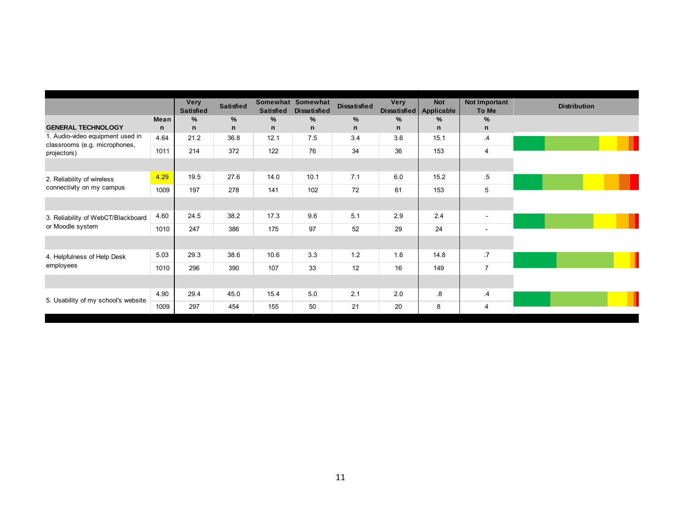|                                                                   |      | <b>Very</b><br><b>Satisfied</b> | <b>Satisfied</b> | <b>Satisfied</b> | Somewhat Somewhat<br><b>Dissatisfied</b> | <b>Dissatisfied</b> | Very<br><b>Dissatisfied</b> | <b>Not</b><br><b>Applicable</b> | Not Important<br>To Me | <b>Distribution</b> |
|-------------------------------------------------------------------|------|---------------------------------|------------------|------------------|------------------------------------------|---------------------|-----------------------------|---------------------------------|------------------------|---------------------|
|                                                                   | Mean | $\%$                            | %                | $\%$             | $\%$                                     | %                   | $\%$                        | $\%$                            | $\frac{9}{6}$          |                     |
| <b>GENERAL TECHNOLOGY</b>                                         | n    | $\mathsf{n}$                    | n                | n                | $\mathbf n$                              | $\mathsf{n}$        | $\mathsf{n}$                | $\mathsf{n}$                    | $\mathbf n$            |                     |
| 1. Audio-video equipment used in<br>classrooms (e.g. microphones, | 4.64 | 21.2                            | 36.8             | 12.1             | 7.5                                      | 3.4                 | 3.6                         | 15.1                            | .4                     |                     |
| projectors)                                                       | 1011 | 214                             | 372              | 122              | 76                                       | 34                  | 36                          | 153                             | $\overline{4}$         |                     |
|                                                                   |      |                                 |                  |                  |                                          |                     |                             |                                 |                        |                     |
| 2. Reliability of wireless                                        | 4.29 | 19.5                            | 27.6             | 14.0             | 10.1                                     | 7.1                 | 6.0                         | 15.2                            | $.5\,$                 |                     |
| connectivity on my campus                                         | 1009 | 197                             | 278              | 141              | 102                                      | 72                  | 61                          | 153                             | 5                      |                     |
|                                                                   |      |                                 |                  |                  |                                          |                     |                             |                                 |                        |                     |
| 3. Reliability of WebCT/Blackboard                                | 4.60 | 24.5                            | 38.2             | 17.3             | 9.6                                      | 5.1                 | 2.9                         | 2.4                             | $\blacksquare$         |                     |
| or Moodle system                                                  | 1010 | 247                             | 386              | 175              | 97                                       | 52                  | 29                          | 24                              |                        |                     |
|                                                                   |      |                                 |                  |                  |                                          |                     |                             |                                 |                        |                     |
| 4. Helpfulness of Help Desk                                       | 5.03 | 29.3                            | 38.6             | 10.6             | 3.3                                      | 1.2                 | 1.6                         | 14.8                            | .7                     |                     |
| employees                                                         | 1010 | 296                             | 390              | 107              | 33                                       | 12                  | 16                          | 149                             | $\overline{7}$         |                     |
|                                                                   |      |                                 |                  |                  |                                          |                     |                             |                                 |                        |                     |
|                                                                   | 4.90 | 29.4                            | 45.0             | 15.4             | 5.0                                      | 2.1                 | 2.0                         | .8                              | .4                     |                     |
| 5. Usability of my school's website                               | 1009 | 297                             | 454              | 155              | 50                                       | 21                  | 20                          | 8                               | $\overline{4}$         |                     |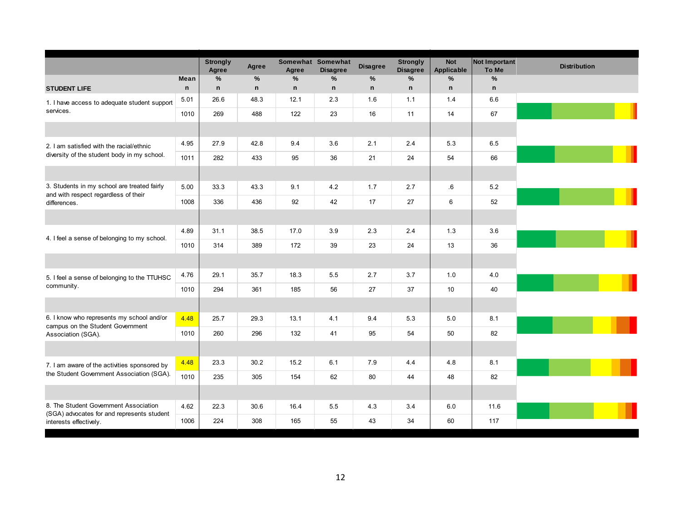|                                                                                     |      | <b>Strongly</b><br>Agree | Agree        | Agree        | Somewhat Somewhat<br><b>Disagree</b> | <b>Disagree</b> | <b>Strongly</b><br><b>Disagree</b> | <b>Not</b><br>Applicable | <b>Not Important</b><br>To Me | <b>Distribution</b> |
|-------------------------------------------------------------------------------------|------|--------------------------|--------------|--------------|--------------------------------------|-----------------|------------------------------------|--------------------------|-------------------------------|---------------------|
|                                                                                     | Mean | $\%$                     | %            | $\%$         | $\%$                                 | $\%$            | $\%$                               | $\%$                     | %                             |                     |
| <b>STUDENT LIFE</b>                                                                 | n    | n                        | $\mathsf{n}$ | $\mathsf{n}$ | $\mathbf n$                          | $\mathsf{n}$    | $\mathbf n$                        | $\mathsf{n}$             | $\mathsf{n}$                  |                     |
| 1. I have access to adequate student support                                        | 5.01 | 26.6                     | 48.3         | 12.1         | 2.3                                  | 1.6             | 1.1                                | 1.4                      | 6.6                           |                     |
| services.                                                                           | 1010 | 269                      | 488          | 122          | 23                                   | 16              | 11                                 | 14                       | 67                            |                     |
|                                                                                     |      |                          |              |              |                                      |                 |                                    |                          |                               |                     |
| 2. I am satisfied with the racial/ethnic                                            | 4.95 | 27.9                     | 42.8         | 9.4          | 3.6                                  | 2.1             | 2.4                                | 5.3                      | 6.5                           |                     |
| diversity of the student body in my school.                                         | 1011 | 282                      | 433          | 95           | 36                                   | 21              | 24                                 | 54                       | 66                            |                     |
|                                                                                     |      |                          |              |              |                                      |                 |                                    |                          |                               |                     |
| 3. Students in my school are treated fairly<br>and with respect regardless of their | 5.00 | 33.3                     | 43.3         | 9.1          | 4.2                                  | 1.7             | 2.7                                | $.6\,$                   | 5.2                           |                     |
| differences.                                                                        | 1008 | 336                      | 436          | 92           | 42                                   | 17              | 27                                 | 6                        | 52                            |                     |
|                                                                                     |      |                          |              |              |                                      |                 |                                    |                          |                               |                     |
| 4. I feel a sense of belonging to my school.                                        | 4.89 | 31.1                     | 38.5         | 17.0         | 3.9                                  | 2.3             | 2.4                                | 1.3                      | 3.6                           |                     |
|                                                                                     | 1010 | 314                      | 389          | 172          | 39                                   | 23              | 24                                 | 13                       | 36                            |                     |
|                                                                                     |      |                          |              |              |                                      |                 |                                    |                          |                               |                     |
| 5. I feel a sense of belonging to the TTUHSC                                        | 4.76 | 29.1                     | 35.7         | 18.3         | 5.5                                  | 2.7             | 3.7                                | 1.0                      | 4.0                           |                     |
| community.                                                                          | 1010 | 294                      | 361          | 185          | 56                                   | 27              | 37                                 | 10                       | 40                            |                     |
|                                                                                     |      |                          |              |              |                                      |                 |                                    |                          |                               |                     |
| 6. I know who represents my school and/or<br>campus on the Student Government       | 4.48 | 25.7                     | 29.3         | 13.1         | 4.1                                  | 9.4             | 5.3                                | 5.0                      | 8.1                           |                     |
| Association (SGA).                                                                  | 1010 | 260                      | 296          | 132          | 41                                   | 95              | 54                                 | 50                       | 82                            |                     |
|                                                                                     |      |                          |              |              |                                      |                 |                                    |                          |                               |                     |
| 7. I am aware of the activities sponsored by                                        | 4.48 | 23.3                     | 30.2         | 15.2         | 6.1                                  | 7.9             | 4.4                                | 4.8                      | 8.1                           |                     |
| the Student Government Association (SGA).                                           | 1010 | 235                      | 305          | 154          | 62                                   | 80              | 44                                 | 48                       | 82                            |                     |
|                                                                                     |      |                          |              |              |                                      |                 |                                    |                          |                               |                     |
| 8. The Student Government Association<br>(SGA) advocates for and represents student | 4.62 | 22.3                     | 30.6         | 16.4         | 5.5                                  | 4.3             | 3.4                                | 6.0                      | 11.6                          |                     |
| interests effectively.                                                              | 1006 | 224                      | 308          | 165          | 55                                   | 43              | 34                                 | 60                       | 117                           |                     |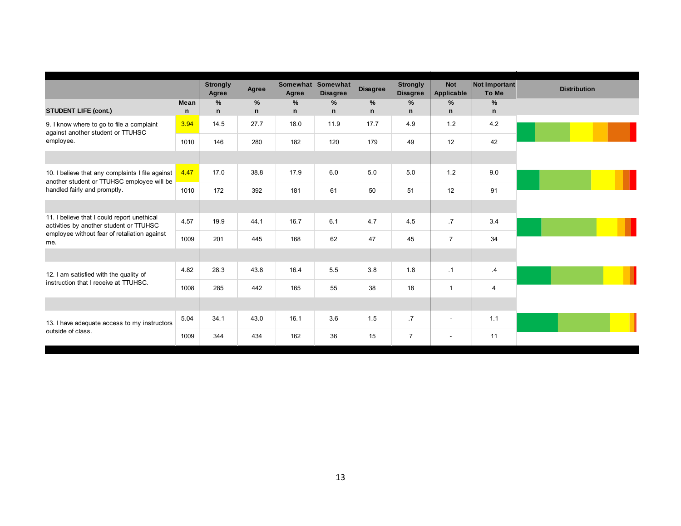|                                                                                                |      | <b>Strongly</b><br>Agree | Agree        | Agree        | Somewhat Somewhat<br><b>Disagree</b> | <b>Disagree</b> | <b>Strongly</b><br><b>Disagree</b> | <b>Not</b><br>Applicable | Not Important<br>To Me | <b>Distribution</b> |
|------------------------------------------------------------------------------------------------|------|--------------------------|--------------|--------------|--------------------------------------|-----------------|------------------------------------|--------------------------|------------------------|---------------------|
|                                                                                                | Mean | %                        | $\%$         | %            | %                                    | $\%$            | %                                  | %                        | %                      |                     |
| <b>STUDENT LIFE (cont.)</b>                                                                    | n    | n                        | $\mathsf{n}$ | $\mathsf{n}$ | n                                    | $\mathsf{n}$    | $\mathsf{n}$                       | $\mathsf{n}$             | $\mathsf{n}$           |                     |
| 9. I know where to go to file a complaint<br>against another student or TTUHSC                 | 3.94 | 14.5                     | 27.7         | 18.0         | 11.9                                 | 17.7            | 4.9                                | 1.2                      | 4.2                    |                     |
| employee.                                                                                      | 1010 | 146                      | 280          | 182          | 120                                  | 179             | 49                                 | 12                       | 42                     |                     |
|                                                                                                |      |                          |              |              |                                      |                 |                                    |                          |                        |                     |
| 10. I believe that any complaints I file against<br>another student or TTUHSC employee will be | 4.47 | 17.0                     | 38.8         | 17.9         | 6.0                                  | 5.0             | 5.0                                | 1.2                      | 9.0                    |                     |
| handled fairly and promptly.                                                                   | 1010 | 172                      | 392          | 181          | 61                                   | 50              | 51                                 | 12                       | 91                     |                     |
|                                                                                                |      |                          |              |              |                                      |                 |                                    |                          |                        |                     |
| 11. I believe that I could report unethical<br>activities by another student or TTUHSC         | 4.57 | 19.9                     | 44.1         | 16.7         | 6.1                                  | 4.7             | 4.5                                | $\overline{.7}$          | 3.4                    |                     |
| employee without fear of retaliation against<br>me.                                            | 1009 | 201                      | 445          | 168          | 62                                   | 47              | 45                                 | $\overline{7}$           | 34                     |                     |
|                                                                                                |      |                          |              |              |                                      |                 |                                    |                          |                        |                     |
| 12. I am satisfied with the quality of                                                         | 4.82 | 28.3                     | 43.8         | 16.4         | 5.5                                  | 3.8             | 1.8                                | $\cdot$ 1                | .4                     |                     |
| instruction that I receive at TTUHSC.                                                          | 1008 | 285                      | 442          | 165          | 55                                   | 38              | 18                                 | $\mathbf{1}$             | $\overline{4}$         |                     |
|                                                                                                |      |                          |              |              |                                      |                 |                                    |                          |                        |                     |
| 13. I have adequate access to my instructors                                                   | 5.04 | 34.1                     | 43.0         | 16.1         | 3.6                                  | 1.5             | $\cdot$ 7                          | $\sim$                   | 1.1                    |                     |
| outside of class.                                                                              | 1009 | 344                      | 434          | 162          | 36                                   | 15              | $\overline{7}$                     | $\sim$                   | 11                     |                     |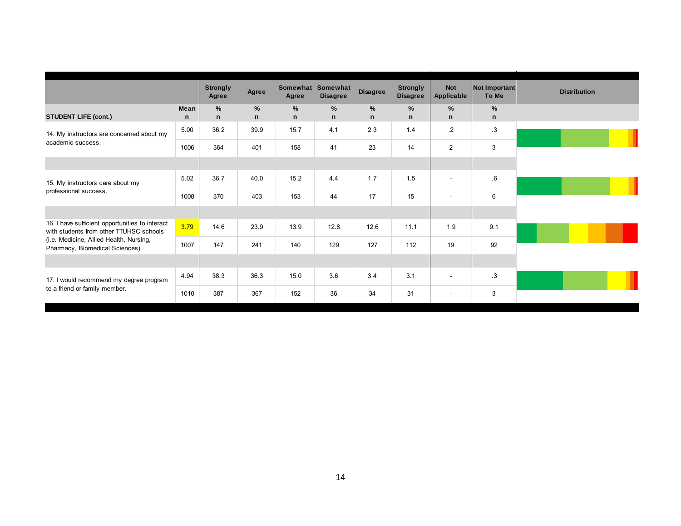|                                                                                            |           | <b>Strongly</b><br>Agree | Agree                | Agree                         | Somewhat Somewhat<br><b>Disagree</b> | <b>Disagree</b>      | <b>Strongly</b><br><b>Disagree</b> | <b>Not</b><br><b>Applicable</b> | <b>Not Important</b><br>To Me | <b>Distribution</b> |
|--------------------------------------------------------------------------------------------|-----------|--------------------------|----------------------|-------------------------------|--------------------------------------|----------------------|------------------------------------|---------------------------------|-------------------------------|---------------------|
| <b>STUDENT LIFE (cont.)</b>                                                                | Mean<br>n | $\%$<br>n                | $\%$<br>$\mathsf{n}$ | $\frac{9}{6}$<br>$\mathsf{n}$ | $\%$<br>n                            | $\%$<br>$\mathsf{n}$ | %<br>$\mathbf n$                   | $\%$<br>$\mathsf{n}$            | %<br>$\mathsf{n}$             |                     |
| 14. My instructors are concerned about my                                                  | 5.00      | 36.2                     | 39.9                 | 15.7                          | 4.1                                  | 2.3                  | 1.4                                | $\cdot$ .2                      | .3                            |                     |
| academic success.                                                                          | 1006      | 364                      | 401                  | 158                           | 41                                   | 23                   | 14                                 | $\overline{2}$                  | 3                             |                     |
|                                                                                            |           |                          |                      |                               |                                      |                      |                                    |                                 |                               |                     |
| 15. My instructors care about my                                                           | 5.02      | 36.7                     | 40.0                 | 15.2                          | 4.4                                  | 1.7                  | 1.5                                | $\blacksquare$                  | .6                            |                     |
| professional success.                                                                      | 1008      | 370                      | 403                  | 153                           | 44                                   | 17                   | 15                                 | ٠                               | 6                             |                     |
|                                                                                            |           |                          |                      |                               |                                      |                      |                                    |                                 |                               |                     |
| 16. I have sufficient opportunities to interact<br>with students from other TTUHSC schools | 3.79      | 14.6                     | 23.9                 | 13.9                          | 12.8                                 | 12.6                 | 11.1                               | 1.9                             | 9.1                           |                     |
| (i.e. Medicine, Allied Health, Nursing,<br>Pharmacy, Biomedical Sciences).                 | 1007      | 147                      | 241                  | 140                           | 129                                  | 127                  | 112                                | 19                              | 92                            |                     |
|                                                                                            |           |                          |                      |                               |                                      |                      |                                    |                                 |                               |                     |
| 17. I would recommend my degree program                                                    | 4.94      | 38.3                     | 36.3                 | 15.0                          | 3.6                                  | 3.4                  | 3.1                                | $\blacksquare$                  | $\cdot$ 3                     |                     |
| to a friend or family member.                                                              | 1010      | 387                      | 367                  | 152                           | 36                                   | 34                   | 31                                 | $\sim$                          | 3                             |                     |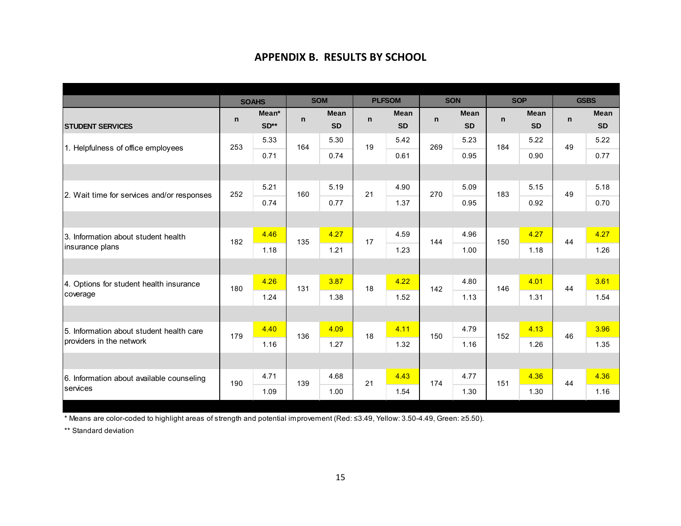## **APPENDIX B. RESULTS BY SCHOOL**

|                                            |              | <b>SOAHS</b> |     | <b>SOM</b> |    | <b>PLFSOM</b> |              | <b>SON</b>  |     | <b>SOP</b> | <b>GSBS</b> |           |
|--------------------------------------------|--------------|--------------|-----|------------|----|---------------|--------------|-------------|-----|------------|-------------|-----------|
|                                            | $\mathsf{n}$ | Mean*        | n   | Mean       | n  | Mean          | $\mathsf{n}$ | <b>Mean</b> | n   | Mean       | n           | Mean      |
| <b>STUDENT SERVICES</b>                    |              | $SD**$       |     | <b>SD</b>  |    | <b>SD</b>     |              | <b>SD</b>   |     | <b>SD</b>  |             | <b>SD</b> |
| 1. Helpfulness of office employees         | 253          | 5.33         | 164 | 5.30       | 19 | 5.42          | 269          | 5.23        | 184 | 5.22       | 49          | 5.22      |
|                                            |              | 0.71         |     | 0.74       |    | 0.61          |              | 0.95        |     | 0.90       |             | 0.77      |
|                                            |              |              |     |            |    |               |              |             |     |            |             |           |
| 2. Wait time for services and/or responses | 252          | 5.21         | 160 | 5.19       | 21 | 4.90          | 270          | 5.09        | 183 | 5.15       | 49          | 5.18      |
|                                            |              | 0.74         |     | 0.77       |    | 1.37          |              | 0.95        |     | 0.92       |             | 0.70      |
|                                            |              |              |     |            |    |               |              |             |     |            |             |           |
| 3. Information about student health        | 182          | 4.46         | 135 | 4.27       | 17 | 4.59          | 144          | 4.96        | 150 | 4.27       | 44          | 4.27      |
| insurance plans                            |              | 1.18         |     | 1.21       |    | 1.23          |              | 1.00        |     | 1.18       |             | 1.26      |
|                                            |              |              |     |            |    |               |              |             |     |            |             |           |
| 4. Options for student health insurance    | 180          | 4.26         | 131 | 3.87       | 18 | 4.22          | 142          | 4.80        | 146 | 4.01       | 44          | 3.61      |
| coverage                                   |              | 1.24         |     | 1.38       |    | 1.52          |              | 1.13        |     | 1.31       |             | 1.54      |
|                                            |              |              |     |            |    |               |              |             |     |            |             |           |
| 5. Information about student health care   | 179          | 4.40         | 136 | 4.09       | 18 | 4.11          | 150          | 4.79        | 152 | 4.13       | 46          | 3.96      |
| providers in the network                   |              | 1.16         |     | 1.27       |    | 1.32          |              | 1.16        |     | 1.26       |             | 1.35      |
|                                            |              |              |     |            |    |               |              |             |     |            |             |           |
| 6. Information about available counseling  | 190          | 4.71         | 139 | 4.68       | 21 | 4.43          | 174          | 4.77        | 151 | 4.36       | 44          | 4.36      |
| Iservices                                  |              | 1.09         |     | 1.00       |    | 1.54          |              | 1.30        |     | 1.30       |             | 1.16      |

\* Means are color-coded to highlight areas of strength and potential improvement (Red: ≤3.49, Yellow: 3.50-4.49, Green: ≥5.50).

\*\* Standard deviation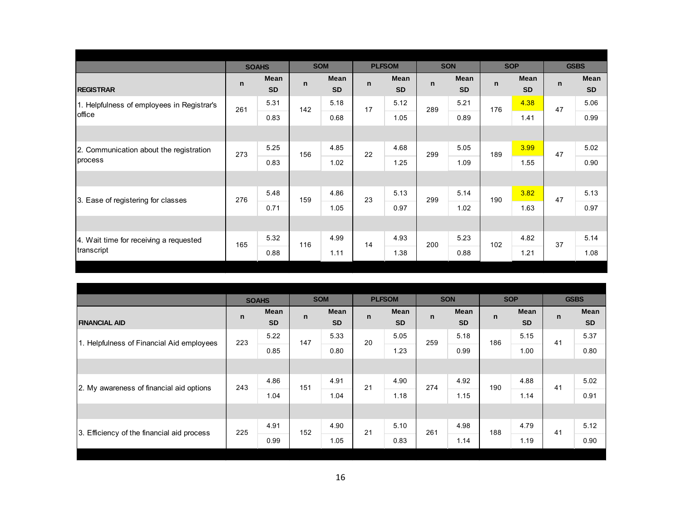|                                            |             | <b>SOAHS</b>             |              | <b>SOM</b>               |             | <b>PLFSOM</b>            |              | <b>SON</b>        |             | <b>SOP</b>               | <b>GSBS</b> |                   |
|--------------------------------------------|-------------|--------------------------|--------------|--------------------------|-------------|--------------------------|--------------|-------------------|-------------|--------------------------|-------------|-------------------|
| <b>REGISTRAR</b>                           | $\mathbf n$ | <b>Mean</b><br><b>SD</b> | $\mathsf{n}$ | <b>Mean</b><br><b>SD</b> | $\mathbf n$ | <b>Mean</b><br><b>SD</b> | $\mathsf{n}$ | Mean<br><b>SD</b> | $\mathbf n$ | <b>Mean</b><br><b>SD</b> | n           | Mean<br><b>SD</b> |
| 1. Helpfulness of employees in Registrar's | 261         | 5.31                     | 142          | 5.18                     | 17          | 5.12                     | 289          | 5.21              | 176         | 4.38                     | 47          | 5.06              |
| office                                     |             | 0.83                     |              | 0.68                     |             | 1.05                     |              | 0.89              |             | 1.41                     |             | 0.99              |
|                                            |             |                          |              |                          |             |                          |              |                   |             |                          |             |                   |
| 2. Communication about the registration    | 273         | 5.25                     | 156          | 4.85                     | 22          | 4.68                     | 299          | 5.05              | 189         | 3.99                     | 47          | 5.02              |
| process                                    |             | 0.83                     |              | 1.02                     |             | 1.25                     |              | 1.09              |             | 1.55                     |             | 0.90              |
|                                            |             |                          |              |                          |             |                          |              |                   |             |                          |             |                   |
| 3. Ease of registering for classes         | 276         | 5.48                     | 159          | 4.86                     | 23          | 5.13                     | 299          | 5.14              | 190         | 3.82                     | 47          | 5.13              |
|                                            |             | 0.71                     |              | 1.05                     |             | 0.97                     |              | 1.02              |             | 1.63                     |             | 0.97              |
|                                            |             |                          |              |                          |             |                          |              |                   |             |                          |             |                   |
| 4. Wait time for receiving a requested     | 165         | 5.32                     | 116          | 4.99                     | 14          | 4.93                     | 200          | 5.23              | 102         | 4.82                     | 37          | 5.14              |
| transcript                                 |             | 0.88                     |              | 1.11                     |             | 1.38                     |              | 0.88              |             | 1.21                     |             | 1.08              |

|                                            |              | <b>SOAHS</b> |              | <b>SOM</b> |              | <b>PLFSOM</b> |              | <b>SON</b> |              | <b>SOP</b> |              | <b>GSBS</b> |
|--------------------------------------------|--------------|--------------|--------------|------------|--------------|---------------|--------------|------------|--------------|------------|--------------|-------------|
|                                            | $\mathsf{n}$ | Mean         | $\mathsf{n}$ | Mean       | $\mathsf{n}$ | Mean          | $\mathsf{n}$ | Mean       | $\mathsf{n}$ | Mean       | $\mathsf{n}$ | Mean        |
| <b>FINANCIAL AID</b>                       |              | <b>SD</b>    |              | <b>SD</b>  |              | <b>SD</b>     |              | <b>SD</b>  |              | <b>SD</b>  |              | <b>SD</b>   |
| 1. Helpfulness of Financial Aid employees  | 223          | 5.22         | 147          | 5.33       | 20           | 5.05          | 259          | 5.18       | 186          | 5.15       | 41           | 5.37        |
|                                            |              | 0.85         |              | 0.80       |              | 1.23          |              | 0.99       |              | 1.00       |              | 0.80        |
|                                            |              |              |              |            |              |               |              |            |              |            |              |             |
| 2. My awareness of financial aid options   | 243          | 4.86         | 151          | 4.91       | 21           | 4.90          | 274          | 4.92       | 190          | 4.88       | 41           | 5.02        |
|                                            |              | 1.04         |              | 1.04       |              | 1.18          |              | 1.15       |              | 1.14       |              | 0.91        |
|                                            |              |              |              |            |              |               |              |            |              |            |              |             |
| 3. Efficiency of the financial aid process | 225          | 4.91         |              | 4.90       | 21           | 5.10          | 261          | 4.98       | 188          | 4.79       | 41           | 5.12        |
|                                            |              | 0.99         | 152          |            |              | 0.83          |              | 1.14       |              | 1.19       |              | 0.90        |
|                                            |              |              |              |            |              |               |              |            |              |            |              |             |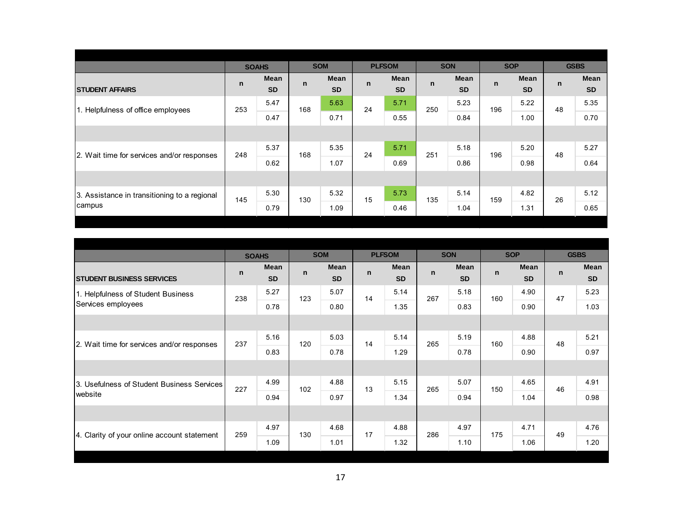|                                              |              | <b>SOAHS</b> |              | <b>SOM</b> |              | <b>PLFSOM</b> |              | <b>SON</b> |             | <b>SOP</b> |              | <b>GSBS</b> |
|----------------------------------------------|--------------|--------------|--------------|------------|--------------|---------------|--------------|------------|-------------|------------|--------------|-------------|
|                                              | $\mathsf{n}$ | Mean         | $\mathsf{n}$ | Mean       | $\mathsf{n}$ | Mean          | $\mathsf{n}$ | Mean       | $\mathbf n$ | Mean       | $\mathsf{n}$ | Mean        |
| <b>STUDENT AFFAIRS</b>                       |              | <b>SD</b>    |              | <b>SD</b>  |              | <b>SD</b>     |              | <b>SD</b>  |             | <b>SD</b>  |              | <b>SD</b>   |
| 1. Helpfulness of office employees           | 253          | 5.47         | 168          | 5.63       | 24           | 5.71          | 250          | 5.23       | 196         | 5.22       | 48           | 5.35        |
|                                              |              | 0.47         |              | 0.71       |              | 0.55          |              | 0.84       |             | 1.00       |              | 0.70        |
|                                              |              |              |              |            |              |               |              |            |             |            |              |             |
|                                              |              | 5.37         |              | 5.35       |              | 5.71          |              | 5.18       |             | 5.20       |              | 5.27        |
|                                              |              | 0.62         |              | 1.07       |              | 0.69          |              | 0.86       |             | 0.98       |              | 0.64        |
|                                              |              |              |              |            |              |               |              |            |             |            |              |             |
| 3. Assistance in transitioning to a regional |              | 5.30         |              | 5.32       |              | 5.73          |              | 5.14       |             | 4.82       |              | 5.12        |
| campus                                       |              | 0.79         |              | 1.09       |              | 0.46          |              | 1.04       |             | 1.31       |              | 0.65        |
| 2. Wait time for services and/or responses   | 248<br>145   |              | 168<br>130   |            | 24<br>15     |               | 251<br>135   |            | 196<br>159  |            | 48<br>26     |             |

|                                             |              | <b>SOAHS</b>      |     | <b>SOM</b>               |              | <b>PLFSOM</b>            |              | <b>SON</b>               |              | <b>SOP</b>        |    | <b>GSBS</b>              |
|---------------------------------------------|--------------|-------------------|-----|--------------------------|--------------|--------------------------|--------------|--------------------------|--------------|-------------------|----|--------------------------|
| <b>STUDENT BUSINESS SERVICES</b>            | $\mathsf{n}$ | Mean<br><b>SD</b> | n   | <b>Mean</b><br><b>SD</b> | $\mathsf{n}$ | <b>Mean</b><br><b>SD</b> | $\mathsf{n}$ | <b>Mean</b><br><b>SD</b> | $\mathsf{n}$ | Mean<br><b>SD</b> | n  | <b>Mean</b><br><b>SD</b> |
| 1. Helpfulness of Student Business          | 238          | 5.27              | 123 | 5.07                     | 14           | 5.14                     | 267          | 5.18                     | 160          | 4.90              | 47 | 5.23                     |
| Services employees                          |              | 0.78              |     | 0.80                     |              | 1.35                     |              | 0.83                     |              | 0.90              |    | 1.03                     |
|                                             |              |                   |     |                          |              |                          |              |                          |              |                   |    |                          |
| 2. Wait time for services and/or responses  | 237          | 5.16              | 120 | 5.03                     | 14           | 5.14                     | 265          | 5.19                     | 160          | 4.88              | 48 | 5.21                     |
|                                             |              | 0.83              |     | 0.78                     |              | 1.29                     |              | 0.78                     |              | 0.90              |    | 0.97                     |
|                                             |              |                   |     |                          |              |                          |              |                          |              |                   |    |                          |
| 3. Usefulness of Student Business Services  | 227          | 4.99              | 102 | 4.88                     | 13           | 5.15                     | 265          | 5.07                     | 150          | 4.65              | 46 | 4.91                     |
| website                                     |              | 0.94              |     | 0.97                     |              | 1.34                     |              | 0.94                     |              | 1.04              |    | 0.98                     |
|                                             |              |                   |     |                          |              |                          |              |                          |              |                   |    |                          |
|                                             | 259          | 4.97              | 130 | 4.68                     | 17           | 4.88                     | 286          | 4.97                     | 175          | 4.71              | 49 | 4.76                     |
| 4. Clarity of your online account statement |              | 1.09              |     | 1.01                     |              | 1.32                     |              | 1.10                     |              | 1.06              |    | 1.20                     |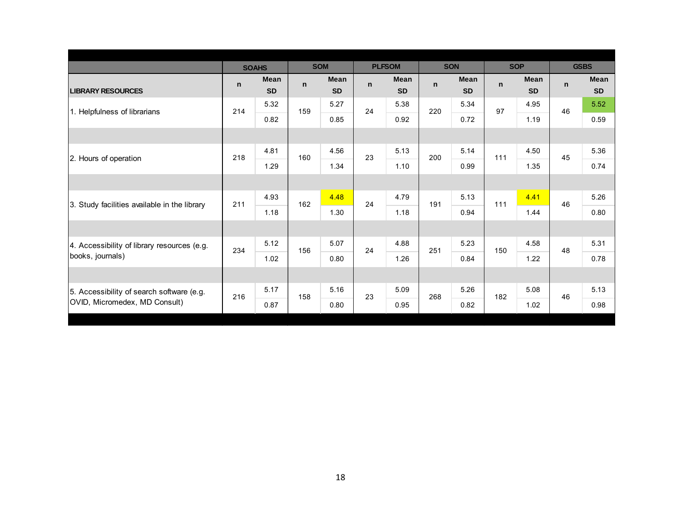|                                              |              | <b>SOAHS</b> |              | <b>SOM</b>  |              | <b>PLFSOM</b> |     | <b>SON</b>  |             | <b>SOP</b> |    | <b>GSBS</b> |
|----------------------------------------------|--------------|--------------|--------------|-------------|--------------|---------------|-----|-------------|-------------|------------|----|-------------|
|                                              | $\mathsf{n}$ | <b>Mean</b>  | $\mathsf{n}$ | <b>Mean</b> | $\mathsf{n}$ | <b>Mean</b>   | n   | <b>Mean</b> | $\mathbf n$ | Mean       | n  | <b>Mean</b> |
| <b>LIBRARY RESOURCES</b>                     |              | <b>SD</b>    |              | <b>SD</b>   |              | <b>SD</b>     |     | <b>SD</b>   |             | <b>SD</b>  |    | <b>SD</b>   |
| 1. Helpfulness of librarians                 | 214          | 5.32         | 159          | 5.27        | 24           | 5.38          | 220 | 5.34        | 97          | 4.95       | 46 | 5.52        |
|                                              |              | 0.82         |              | 0.85        |              | 0.92          |     | 0.72        |             | 1.19       |    | 0.59        |
|                                              |              |              |              |             |              |               |     |             |             |            |    |             |
| 2. Hours of operation                        | 218          | 4.81         | 160          | 4.56        | 23           | 5.13          | 200 | 5.14        | 111         | 4.50       | 45 | 5.36        |
|                                              |              | 1.29         |              | 1.34        |              | 1.10          |     | 0.99        |             | 1.35       |    | 0.74        |
|                                              |              |              |              |             |              |               |     |             |             |            |    |             |
| 3. Study facilities available in the library | 211          | 4.93         | 162          | 4.48        | 24           | 4.79          | 191 | 5.13        | 111         | 4.41       | 46 | 5.26        |
|                                              |              | 1.18         |              | 1.30        |              | 1.18          |     | 0.94        |             | 1.44       |    | 0.80        |
|                                              |              |              |              |             |              |               |     |             |             |            |    |             |
| 4. Accessibility of library resources (e.g.  | 234          | 5.12         | 156          | 5.07        | 24           | 4.88          | 251 | 5.23        | 150         | 4.58       | 48 | 5.31        |
| books, journals)                             |              | 1.02         |              | 0.80        |              | 1.26          |     | 0.84        |             | 1.22       |    | 0.78        |
|                                              |              |              |              |             |              |               |     |             |             |            |    |             |
| 5. Accessibility of search software (e.g.    | 216          | 5.17         | 158          | 5.16        | 23           | 5.09          | 268 | 5.26        | 182         | 5.08       | 46 | 5.13        |
| OVID, Micromedex, MD Consult)                |              | 0.87         |              | 0.80        |              | 0.95          |     | 0.82        |             | 1.02       |    | 0.98        |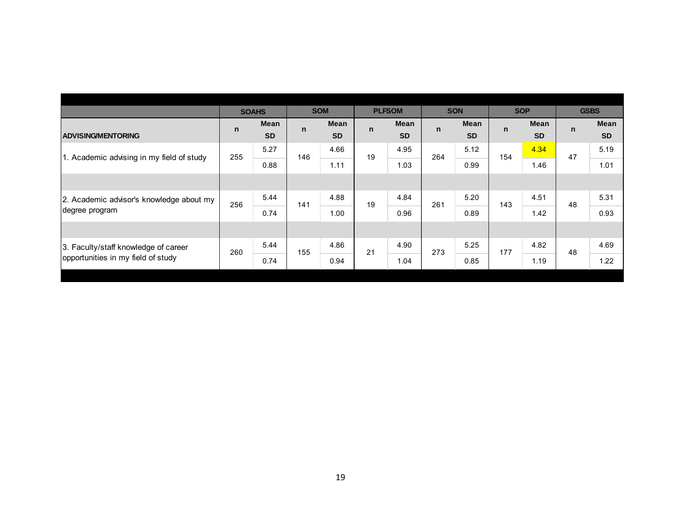|                                           |              | <b>SOAHS</b> |              | <b>SOM</b> |             | <b>PLFSOM</b> |     | <b>SON</b> |             | <b>SOP</b> |              | <b>GSBS</b> |
|-------------------------------------------|--------------|--------------|--------------|------------|-------------|---------------|-----|------------|-------------|------------|--------------|-------------|
|                                           | $\mathsf{n}$ | <b>Mean</b>  | $\mathsf{n}$ | Mean       | $\mathbf n$ | Mean          | n   | Mean       | $\mathbf n$ | Mean       | $\mathsf{n}$ | <b>Mean</b> |
| <b>ADVISING/MENTORING</b>                 |              | <b>SD</b>    |              | <b>SD</b>  |             | <b>SD</b>     |     | <b>SD</b>  |             | <b>SD</b>  |              | <b>SD</b>   |
| 1. Academic advising in my field of study | 255          | 5.27         | 146          | 4.66       | 19          | 4.95          | 264 | 5.12       | 154         | 4.34       | 47           | 5.19        |
|                                           |              | 0.88         |              | 1.11       |             | 1.03          |     | 0.99       |             | 1.46       |              | 1.01        |
|                                           |              |              |              |            |             |               |     |            |             |            |              |             |
| 2. Academic advisor's knowledge about my  | 256          | 5.44         | 141          | 4.88       | 19          | 4.84          | 261 | 5.20       | 143         | 4.51       | 48           | 5.31        |
| degree program                            |              | 0.74         |              | 1.00       |             | 0.96          |     | 0.89       |             | 1.42       |              | 0.93        |
|                                           |              |              |              |            |             |               |     |            |             |            |              |             |
| 3. Faculty/staff knowledge of career      | 260          | 5.44         | 155          | 4.86       | 21          | 4.90          | 273 | 5.25       | 177         | 4.82       | 48           | 4.69        |
| opportunities in my field of study        |              | 0.74         |              | 0.94       |             | 1.04          |     | 0.85       |             | 1.19       |              | 1.22        |
|                                           |              |              |              |            |             |               |     |            |             |            |              |             |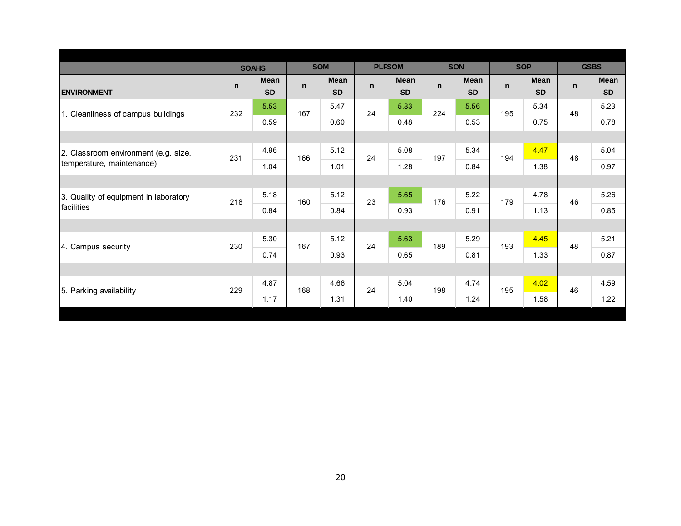|                                       | <b>SOM</b><br><b>SOAHS</b> |                          |              |                   |              |                          |              |                          |              |                          |              |                          |
|---------------------------------------|----------------------------|--------------------------|--------------|-------------------|--------------|--------------------------|--------------|--------------------------|--------------|--------------------------|--------------|--------------------------|
|                                       |                            |                          |              |                   |              | <b>PLFSOM</b>            |              | <b>SON</b>               |              | <b>SOP</b>               |              | <b>GSBS</b>              |
| <b>ENVIRONMENT</b>                    | $\mathsf{n}$               | <b>Mean</b><br><b>SD</b> | $\mathsf{n}$ | Mean<br><b>SD</b> | $\mathsf{n}$ | <b>Mean</b><br><b>SD</b> | $\mathsf{n}$ | <b>Mean</b><br><b>SD</b> | $\mathsf{n}$ | <b>Mean</b><br><b>SD</b> | $\mathsf{n}$ | <b>Mean</b><br><b>SD</b> |
| 1. Cleanliness of campus buildings    | 232                        | 5.53                     | 167          | 5.47              | 24           | 5.83                     | 224          | 5.56                     | 195          | 5.34                     | 48           | 5.23                     |
|                                       |                            | 0.59                     |              | 0.60              |              | 0.48                     |              | 0.53                     |              | 0.75                     |              | 0.78                     |
|                                       |                            |                          |              |                   |              |                          |              |                          |              |                          |              |                          |
| 2. Classroom environment (e.g. size,  | 231                        | 4.96                     | 166          | 5.12              | 24           | 5.08                     | 197          | 5.34                     | 194          | 4.47                     | 48           | 5.04                     |
| temperature, maintenance)             |                            | 1.04                     |              | 1.01              |              | 1.28                     |              | 0.84                     |              | 1.38                     |              | 0.97                     |
|                                       |                            |                          |              |                   |              |                          |              |                          |              |                          |              |                          |
| 3. Quality of equipment in laboratory | 218                        | 5.18                     | 160          | 5.12              | 23           | 5.65                     | 176          | 5.22                     | 179          | 4.78                     | 46           | 5.26                     |
| facilities                            |                            | 0.84                     |              | 0.84              |              | 0.93                     |              | 0.91                     |              | 1.13                     |              | 0.85                     |
|                                       |                            |                          |              |                   |              |                          |              |                          |              |                          |              |                          |
| 4. Campus security                    | 230                        | 5.30                     | 167          | 5.12              | 24           | 5.63                     | 189          | 5.29                     | 193          | 4.45                     | 48           | 5.21                     |
|                                       |                            | 0.74                     |              | 0.93              |              | 0.65                     |              | 0.81                     |              | 1.33                     |              | 0.87                     |
|                                       |                            |                          |              |                   |              |                          |              |                          |              |                          |              |                          |
|                                       | 229                        | 4.87                     | 168          | 4.66              | 24           | 5.04                     | 198          | 4.74                     | 195          | 4.02                     | 46           | 4.59                     |
| 5. Parking availability               |                            | 1.17                     |              | 1.31              |              | 1.40                     |              | 1.24                     |              | 1.58                     |              | 1.22                     |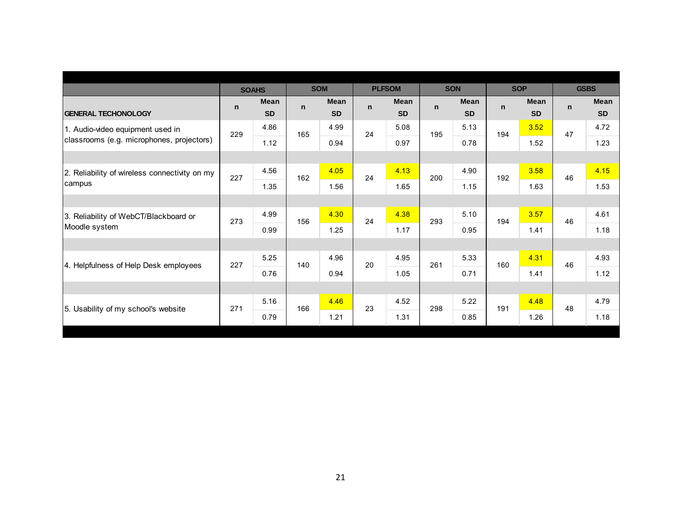|                                               |              | <b>SOAHS</b>      |              | <b>SOM</b>        |              | <b>PLFSOM</b>            |              | <b>SON</b>        |              | <b>SOP</b>        | <b>GSBS</b> |                   |
|-----------------------------------------------|--------------|-------------------|--------------|-------------------|--------------|--------------------------|--------------|-------------------|--------------|-------------------|-------------|-------------------|
| <b>GENERAL TECHONOLOGY</b>                    | $\mathsf{n}$ | Mean<br><b>SD</b> | $\mathsf{n}$ | Mean<br><b>SD</b> | $\mathsf{n}$ | <b>Mean</b><br><b>SD</b> | $\mathsf{n}$ | Mean<br><b>SD</b> | $\mathsf{n}$ | Mean<br><b>SD</b> | n           | Mean<br><b>SD</b> |
| 1. Audio-video equipment used in              | 229          | 4.86              | 165          | 4.99              | 24           | 5.08                     | 195          | 5.13              | 194          | 3.52              | 47          | 4.72              |
| classrooms (e.g. microphones, projectors)     |              | 1.12              |              | 0.94              |              | 0.97                     |              | 0.78              |              | 1.52              |             | 1.23              |
|                                               |              |                   |              |                   |              |                          |              |                   |              |                   |             |                   |
| 2. Reliability of wireless connectivity on my | 227          | 4.56              | 162          | 4.05              | 24           | 4.13                     | 200          | 4.90              | 192          | 3.58              | 46          | 4.15              |
| campus                                        |              | 1.35              |              | 1.56              |              | 1.65                     |              | 1.15              |              | 1.63              |             | 1.53              |
|                                               |              |                   |              |                   |              |                          |              |                   |              |                   |             |                   |
| 3. Reliability of WebCT/Blackboard or         | 273          | 4.99              | 156          | 4.30              | 24           | 4.38                     | 293          | 5.10              | 194          | 3.57              | 46          | 4.61              |
| Moodle system                                 |              | 0.99              |              | 1.25              |              | 1.17                     |              | 0.95              |              | 1.41              |             | 1.18              |
|                                               |              |                   |              |                   |              |                          |              |                   |              |                   |             |                   |
| 4. Helpfulness of Help Desk employees         | 227          | 5.25              | 140          | 4.96              | 20           | 4.95                     | 261          | 5.33              | 160          | 4.31              | 46          | 4.93              |
|                                               |              | 0.76              |              | 0.94              |              | 1.05                     |              | 0.71              |              | 1.41              |             | 1.12              |
|                                               |              |                   |              |                   |              |                          |              |                   |              |                   |             |                   |
|                                               | 271          | 5.16              | 166          | 4.46              | 23           | 4.52                     | 298          | 5.22              | 191          | 4.48              | 48          | 4.79              |
| 5. Usability of my school's website           |              | 0.79              |              | 1.21              |              | 1.31                     |              | 0.85              |              | 1.26              |             | 1.18              |
|                                               |              |                   |              |                   |              |                          |              |                   |              |                   |             |                   |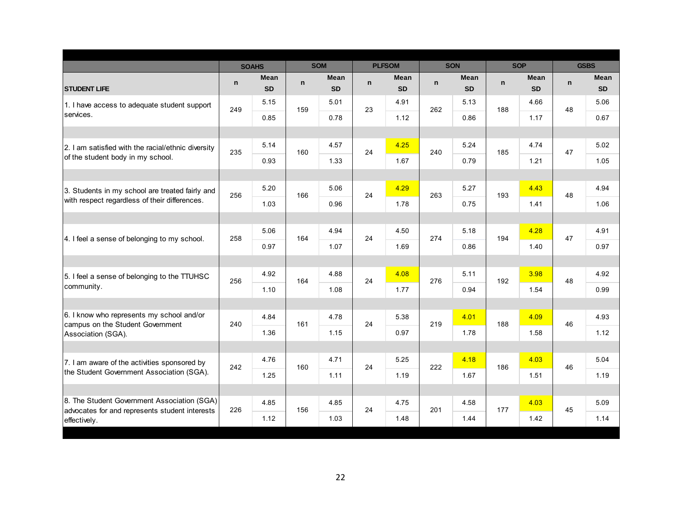|                                                                                               |     | <b>SOAHS</b> |     | <b>SOM</b>  |              | <b>PLFSOM</b> |              | <b>SON</b>  |     | <b>SOP</b>  |    | <b>GSBS</b> |
|-----------------------------------------------------------------------------------------------|-----|--------------|-----|-------------|--------------|---------------|--------------|-------------|-----|-------------|----|-------------|
|                                                                                               |     | Mean         |     | <b>Mean</b> |              | <b>Mean</b>   |              | <b>Mean</b> |     | <b>Mean</b> |    | Mean        |
| <b>STUDENT LIFE</b>                                                                           | n   | <b>SD</b>    | n   | <b>SD</b>   | $\mathsf{n}$ | <b>SD</b>     | $\mathsf{n}$ | <b>SD</b>   | n   | <b>SD</b>   | n  | <b>SD</b>   |
| 1. I have access to adequate student support                                                  | 249 | 5.15         | 159 | 5.01        | 23           | 4.91          | 262          | 5.13        | 188 | 4.66        | 48 | 5.06        |
| services.                                                                                     |     | 0.85         |     | 0.78        |              | 1.12          |              | 0.86        |     | 1.17        |    | 0.67        |
|                                                                                               |     |              |     |             |              |               |              |             |     |             |    |             |
| 2. I am satisfied with the racial/ethnic diversity                                            | 235 | 5.14         | 160 | 4.57        | 24           | 4.25          | 240          | 5.24        | 185 | 4.74        | 47 | 5.02        |
| of the student body in my school.                                                             |     | 0.93         |     | 1.33        |              | 1.67          |              | 0.79        |     | 1.21        |    | 1.05        |
|                                                                                               |     |              |     |             |              |               |              |             |     |             |    |             |
| 3. Students in my school are treated fairly and                                               | 256 | 5.20         | 166 | 5.06        | 24           | 4.29          | 263          | 5.27        | 193 | 4.43        | 48 | 4.94        |
| with respect regardless of their differences.                                                 |     | 1.03         |     | 0.96        |              | 1.78          |              | 0.75        |     | 1.41        |    | 1.06        |
|                                                                                               |     |              |     |             |              |               |              |             |     |             |    |             |
|                                                                                               | 258 | 5.06         | 164 | 4.94        | 24           | 4.50          | 274          | 5.18        | 194 | 4.28        | 47 | 4.91        |
| 4. I feel a sense of belonging to my school.                                                  |     | 0.97         |     | 1.07        |              | 1.69          |              | 0.86        |     | 1.40        |    | 0.97        |
|                                                                                               |     |              |     |             |              |               |              |             |     |             |    |             |
| 5. I feel a sense of belonging to the TTUHSC                                                  | 256 | 4.92         | 164 | 4.88        | 24           | 4.08          | 276          | 5.11        | 192 | 3.98        | 48 | 4.92        |
| community.                                                                                    |     | 1.10         |     | 1.08        |              | 1.77          |              | 0.94        |     | 1.54        |    | 0.99        |
|                                                                                               |     |              |     |             |              |               |              |             |     |             |    |             |
| 6. I know who represents my school and/or<br>campus on the Student Government                 | 240 | 4.84         | 161 | 4.78        | 24           | 5.38          | 219          | 4.01        | 188 | 4.09        | 46 | 4.93        |
| Association (SGA).                                                                            |     | 1.36         |     | 1.15        |              | 0.97          |              | 1.78        |     | 1.58        |    | 1.12        |
|                                                                                               |     |              |     |             |              |               |              |             |     |             |    |             |
| 7. I am aware of the activities sponsored by                                                  | 242 | 4.76         | 160 | 4.71        | 24           | 5.25          | 222          | 4.18        | 186 | 4.03        | 46 | 5.04        |
| the Student Government Association (SGA).                                                     |     | 1.25         |     | 1.11        |              | 1.19          |              | 1.67        |     | 1.51        |    | 1.19        |
|                                                                                               |     |              |     |             |              |               |              |             |     |             |    |             |
| 8. The Student Government Association (SGA)<br>advocates for and represents student interests | 226 | 4.85         | 156 | 4.85        | 24           | 4.75          | 201          | 4.58        | 177 | 4.03        | 45 | 5.09        |
| effectively.                                                                                  |     | 1.12         |     | 1.03        |              | 1.48          |              | 1.44        |     | 1.42        |    | 1.14        |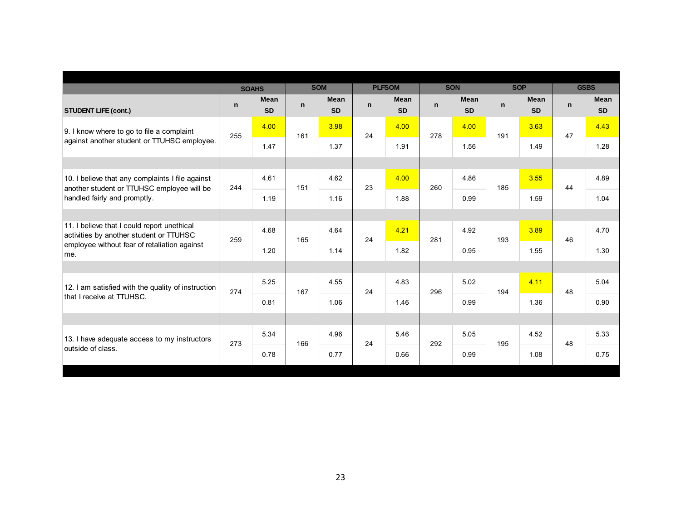|                                                                                                |             | <b>SOAHS</b>             |             | <b>SOM</b>               |              | <b>PLFSOM</b>     |              | <b>SON</b>               |             | <b>SOP</b>               | <b>GSBS</b> |                          |
|------------------------------------------------------------------------------------------------|-------------|--------------------------|-------------|--------------------------|--------------|-------------------|--------------|--------------------------|-------------|--------------------------|-------------|--------------------------|
| <b>STUDENT LIFE (cont.)</b>                                                                    | $\mathbf n$ | <b>Mean</b><br><b>SD</b> | $\mathbf n$ | <b>Mean</b><br><b>SD</b> | $\mathsf{n}$ | Mean<br><b>SD</b> | $\mathsf{n}$ | <b>Mean</b><br><b>SD</b> | $\mathbf n$ | <b>Mean</b><br><b>SD</b> | $\mathbf n$ | <b>Mean</b><br><b>SD</b> |
| 9. I know where to go to file a complaint                                                      | 255         | 4.00                     | 161         | 3.98                     | 24           | 4.00              | 278          | 4.00                     | 191         | 3.63                     | 47          | 4.43                     |
| against another student or TTUHSC employee.                                                    |             | 1.47                     |             | 1.37                     |              | 1.91              |              | 1.56                     |             | 1.49                     |             | 1.28                     |
|                                                                                                |             |                          |             |                          |              |                   |              |                          |             |                          |             |                          |
| 10. I believe that any complaints I file against<br>another student or TTUHSC employee will be | 244         | 4.61                     | 151         | 4.62                     | 23           | 4.00              | 260          | 4.86                     | 185         | 3.55                     | 44          | 4.89                     |
| handled fairly and promptly.                                                                   |             | 1.19                     |             | 1.16                     |              | 1.88              |              | 0.99                     |             | 1.59                     |             | 1.04                     |
|                                                                                                |             |                          |             |                          |              |                   |              |                          |             |                          |             |                          |
| 11. I believe that I could report unethical<br>activities by another student or TTUHSC         | 259         | 4.68                     | 165         | 4.64                     | 24           | 4.21              | 281          | 4.92                     | 193         | 3.89                     | 46          | 4.70                     |
| employee without fear of retaliation against<br>me.                                            |             | 1.20                     |             | 1.14                     |              | 1.82              |              | 0.95                     |             | 1.55                     |             | 1.30                     |
|                                                                                                |             |                          |             |                          |              |                   |              |                          |             |                          |             |                          |
| 12. I am satisfied with the quality of instruction                                             | 274         | 5.25                     | 167         | 4.55                     | 24           | 4.83              | 296          | 5.02                     | 194         | 4.11                     | 48          | 5.04                     |
| Ithat I receive at TTUHSC.                                                                     |             | 0.81                     |             | 1.06                     |              | 1.46              |              | 0.99                     |             | 1.36                     |             | 0.90                     |
|                                                                                                |             |                          |             |                          |              |                   |              |                          |             |                          |             |                          |
| 13. I have adequate access to my instructors                                                   | 273         | 5.34                     | 166         | 4.96                     | 24           | 5.46              | 292          | 5.05                     | 195         | 4.52                     | 48          | 5.33                     |
| outside of class.                                                                              |             | 0.78                     |             | 0.77                     |              | 0.66              |              | 0.99                     |             | 1.08                     |             | 0.75                     |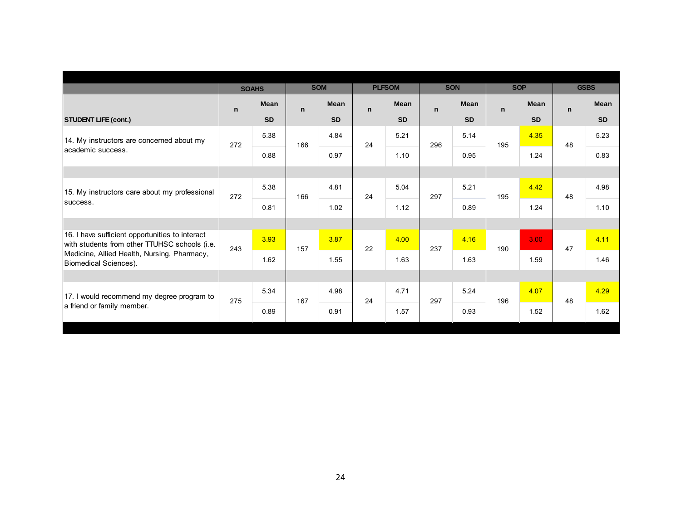|                                                                                                  |             |              |              | <b>SOM</b>  |             | <b>PLFSOM</b> |              | <b>SON</b>  |              | <b>SOP</b>        |    | <b>GSBS</b> |
|--------------------------------------------------------------------------------------------------|-------------|--------------|--------------|-------------|-------------|---------------|--------------|-------------|--------------|-------------------|----|-------------|
|                                                                                                  |             | <b>SOAHS</b> |              |             |             |               |              |             |              |                   |    |             |
|                                                                                                  | $\mathbf n$ | <b>Mean</b>  | $\mathsf{n}$ | <b>Mean</b> | $\mathbf n$ | <b>Mean</b>   | $\mathsf{n}$ | <b>Mean</b> | $\mathsf{n}$ | <b>Mean</b>       | n  | <b>Mean</b> |
| <b>STUDENT LIFE (cont.)</b>                                                                      |             | <b>SD</b>    |              | <b>SD</b>   |             | <b>SD</b>     |              | <b>SD</b>   |              | <b>SD</b>         |    | <b>SD</b>   |
| 14. My instructors are concerned about my                                                        | 272         | 5.38         | 166          | 4.84        | 24          | 5.21          | 296          | 5.14        | 195          | 4.35              | 48 | 5.23        |
| lacademic success.                                                                               |             | 0.88         |              | 0.97        |             | 1.10          |              | 0.95        |              | 1.24              |    | 0.83        |
|                                                                                                  |             |              |              |             |             |               |              |             |              |                   |    |             |
| 15. My instructors care about my professional                                                    | 272         | 5.38         | 166          | 4.81        | 24          | 5.04          | 297          | 5.21        | 195          | 4.42              | 48 | 4.98        |
| success.                                                                                         |             | 0.81         |              | 1.02        |             | 1.12          |              | 0.89        |              | 1.24              |    | 1.10        |
|                                                                                                  |             |              |              |             |             |               |              |             |              |                   |    |             |
| 16. I have sufficient opportunities to interact<br>with students from other TTUHSC schools (i.e. | 243         | 3.93         | 157          | 3.87        | 22          | 4.00          | 237          | 4.16        | 190          | 3.00 <sub>1</sub> | 47 | 4.11        |
| Medicine, Allied Health, Nursing, Pharmacy,<br>Biomedical Sciences).                             |             | 1.62         |              | 1.55        |             | 1.63          |              | 1.63        |              | 1.59              |    | 1.46        |
|                                                                                                  |             |              |              |             |             |               |              |             |              |                   |    |             |
| 17. I would recommend my degree program to                                                       | 275         | 5.34         | 167          | 4.98        | 24          | 4.71          | 297          | 5.24        | 196          | 4.07              | 48 | 4.29        |
| a friend or family member.                                                                       |             | 0.89         |              | 0.91        |             | 1.57          |              | 0.93        |              | 1.52              |    | 1.62        |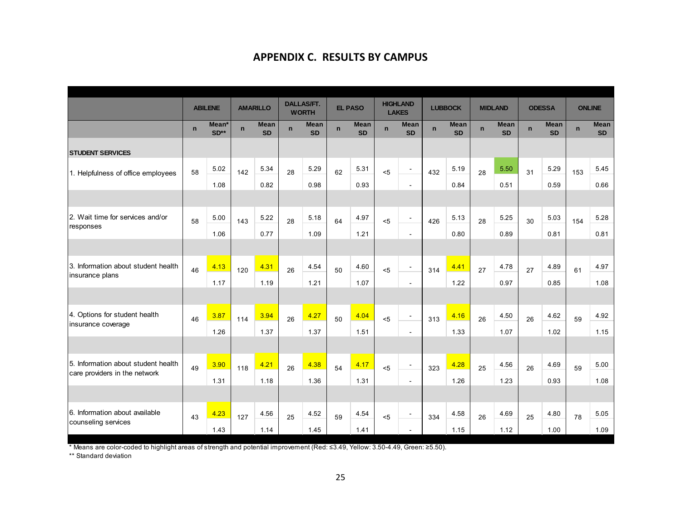#### **APPENDIX C. RESULTS BY CAMPUS**

|                                     |             | <b>ABILENE</b>  |             | <b>AMARILLO</b>          |             | <b>DALLAS/FT.</b><br><b>WORTH</b> |             | <b>EL PASO</b>           |              | <b>HIGHLAND</b><br><b>LAKES</b> |             | <b>LUBBOCK</b>           |              | <b>MIDLAND</b>           |             | <b>ODESSA</b>            | <b>ONLINE</b> |                          |
|-------------------------------------|-------------|-----------------|-------------|--------------------------|-------------|-----------------------------------|-------------|--------------------------|--------------|---------------------------------|-------------|--------------------------|--------------|--------------------------|-------------|--------------------------|---------------|--------------------------|
|                                     | $\mathbf n$ | Mean*<br>$SD**$ | $\mathbf n$ | <b>Mean</b><br><b>SD</b> | $\mathbf n$ | <b>Mean</b><br><b>SD</b>          | $\mathbf n$ | <b>Mean</b><br><b>SD</b> | $\mathsf{n}$ | <b>Mean</b><br><b>SD</b>        | $\mathbf n$ | <b>Mean</b><br><b>SD</b> | $\mathsf{n}$ | <b>Mean</b><br><b>SD</b> | $\mathbf n$ | <b>Mean</b><br><b>SD</b> | $\mathsf{n}$  | <b>Mean</b><br><b>SD</b> |
| <b>STUDENT SERVICES</b>             |             |                 |             |                          |             |                                   |             |                          |              |                                 |             |                          |              |                          |             |                          |               |                          |
| 1. Helpfulness of office employees  | 58          | 5.02            | 142         | 5.34                     | 28          | 5.29                              | 62          | 5.31                     | 5            | $\sim$                          | 432         | 5.19                     | 28           | 5.50                     | 31          | 5.29                     | 153           | 5.45                     |
|                                     |             | 1.08            |             | 0.82                     |             | 0.98                              |             | 0.93                     |              | $\sim$                          |             | 0.84                     |              | 0.51                     |             | 0.59                     |               | 0.66                     |
|                                     |             |                 |             |                          |             |                                   |             |                          |              |                                 |             |                          |              |                          |             |                          |               |                          |
| 2. Wait time for services and/or    | 58          | 5.00            | 143         | 5.22                     | 28          | 5.18                              | 64          | 4.97                     | 5            | $\blacksquare$                  | 426         | 5.13                     | 28           | 5.25                     | 30          | 5.03                     | 154           | 5.28                     |
| responses                           |             | 1.06            |             | 0.77                     |             | 1.09                              |             | 1.21                     |              | $\blacksquare$                  |             | 0.80                     |              | 0.89                     |             | 0.81                     |               | 0.81                     |
|                                     |             |                 |             |                          |             |                                   |             |                          |              |                                 |             |                          |              |                          |             |                          |               |                          |
| 3. Information about student health | 46          | 4.13            | 120         | 4.31                     | 26          | 4.54                              | 50          | 4.60                     | 5            | $\blacksquare$                  | 314         | 4.41                     | 27           | 4.78                     | 27          | 4.89                     | 61            | 4.97                     |
| insurance plans                     |             | 1.17            |             | 1.19                     |             | 1.21                              |             | 1.07                     |              | $\omega$                        |             | 1.22                     |              | 0.97                     |             | 0.85                     |               | 1.08                     |
|                                     |             |                 |             |                          |             |                                   |             |                          |              |                                 |             |                          |              |                          |             |                          |               |                          |
| 4. Options for student health       | 46          | 3.87            | 114         | 3.94                     | 26          | 4.27                              | 50          | 4.04                     | 5            | $\overline{\phantom{a}}$        | 313         | 4.16                     | 26           | 4.50                     | 26          | 4.62                     | 59            | 4.92                     |
| insurance coverage                  |             | 1.26            |             | 1.37                     |             | 1.37                              |             | 1.51                     |              | $\sim$                          |             | 1.33                     |              | 1.07                     |             | 1.02                     |               | 1.15                     |
|                                     |             |                 |             |                          |             |                                   |             |                          |              |                                 |             |                          |              |                          |             |                          |               |                          |
| 5. Information about student health | 49          | 3.90            | 118         | 4.21                     | 26          | 4.38                              | 54          | 4.17                     | < 5          | $\blacksquare$                  | 323         | 4.28                     | 25           | 4.56                     | 26          | 4.69                     | 59            | 5.00                     |
| care providers in the network       |             | 1.31            |             | 1.18                     |             | 1.36                              |             | 1.31                     |              | $\blacksquare$                  |             | 1.26                     |              | 1.23                     |             | 0.93                     |               | 1.08                     |
|                                     |             |                 |             |                          |             |                                   |             |                          |              |                                 |             |                          |              |                          |             |                          |               |                          |
| 6. Information about available      | 43          | 4.23            | 127         | 4.56                     | 25          | 4.52                              | 59          | 4.54                     | < 5          |                                 | 334         | 4.58                     | 26           | 4.69                     | 25          | 4.80                     | 78            | 5.05                     |
| counseling services                 |             | 1.43            |             | 1.14                     |             | 1.45                              |             | 1.41                     |              |                                 |             | 1.15                     |              | 1.12                     |             | 1.00                     |               | 1.09                     |

\* Means are color-coded to highlight areas of strength and potential improvement (Red: ≤3.49, Yellow: 3.50-4.49, Green: ≥5.50).

\*\* Standard deviation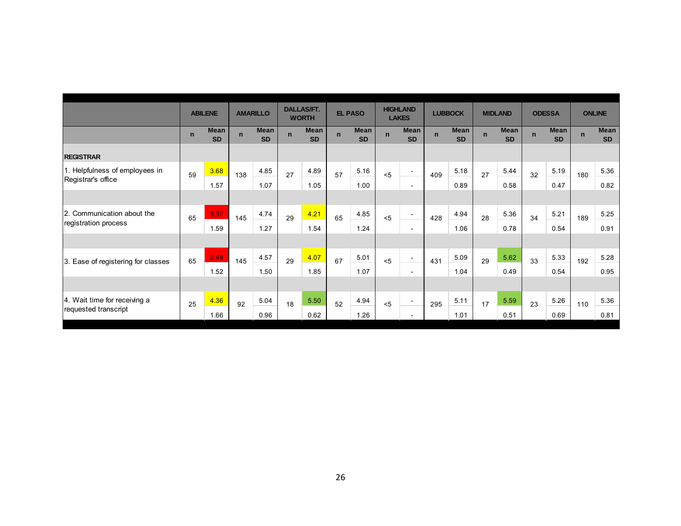|                                    |              | <b>ABILENE</b>           |             | <b>AMARILLO</b>          |             | <b>DALLAS/FT.</b><br><b>WORTH</b> |             | <b>EL PASO</b>           |             | <b>HIGHLAND</b><br><b>LAKES</b> |             | <b>LUBBOCK</b>           |             | <b>MIDLAND</b>           |             | <b>ODESSA</b>            |             | <b>ONLINE</b>            |
|------------------------------------|--------------|--------------------------|-------------|--------------------------|-------------|-----------------------------------|-------------|--------------------------|-------------|---------------------------------|-------------|--------------------------|-------------|--------------------------|-------------|--------------------------|-------------|--------------------------|
|                                    | $\mathsf{n}$ | <b>Mean</b><br><b>SD</b> | $\mathbf n$ | <b>Mean</b><br><b>SD</b> | $\mathbf n$ | <b>Mean</b><br><b>SD</b>          | $\mathbf n$ | <b>Mean</b><br><b>SD</b> | $\mathbf n$ | <b>Mean</b><br><b>SD</b>        | $\mathbf n$ | <b>Mean</b><br><b>SD</b> | $\mathbf n$ | <b>Mean</b><br><b>SD</b> | $\mathbf n$ | <b>Mean</b><br><b>SD</b> | $\mathbf n$ | <b>Mean</b><br><b>SD</b> |
| <b>REGISTRAR</b>                   |              |                          |             |                          |             |                                   |             |                          |             |                                 |             |                          |             |                          |             |                          |             |                          |
| 1. Helpfulness of employees in     | 59           | 3.68                     | 138         | 4.85                     | 27          | 4.89                              | 57          | 5.16                     | < 5         |                                 | 409         | 5.18                     | 27          | 5.44                     | 32          | 5.19                     | 180         | 5.36                     |
| Registrar's office                 |              | 1.57                     |             | 1.07                     |             | 1.05                              |             | 1.00                     |             | $\overline{\phantom{a}}$        |             | 0.89                     |             | 0.58                     |             | 0.47                     |             | 0.82                     |
|                                    |              |                          |             |                          |             |                                   |             |                          |             |                                 |             |                          |             |                          |             |                          |             |                          |
| 2. Communication about the         | 65           | 3.37                     | 145         | 4.74                     | 29          | 4.21                              | 65          | 4.85                     | $5$         | $\overline{\phantom{a}}$        | 428         | 4.94                     | 28          | 5.36                     | 34          | 5.21                     | 189         | 5.25                     |
| registration process               |              | 1.59                     |             | 1.27                     |             | 1.54                              |             | 1.24                     |             | $\overline{\phantom{a}}$        |             | 1.06                     |             | 0.78                     |             | 0.54                     |             | 0.91                     |
|                                    |              |                          |             |                          |             |                                   |             |                          |             |                                 |             |                          |             |                          |             |                          |             |                          |
| 3. Ease of registering for classes | 65           | 3.49                     | 145         | 4.57                     | 29          | 4.07                              | 67          | 5.01                     | < 5         | ٠                               | 431         | 5.09                     | 29          | 5.62                     | 33          | 5.33                     | 192         | 5.28                     |
|                                    |              | 1.52                     |             | 1.50                     |             | 1.85                              |             | 1.07                     |             | $\sim$                          |             | 1.04                     |             | 0.49                     |             | 0.54                     |             | 0.95                     |
|                                    |              |                          |             |                          |             |                                   |             |                          |             |                                 |             |                          |             |                          |             |                          |             |                          |
| 4. Wait time for receiving a       | 25           | 4.36                     | 92          | 5.04                     | 18          | 5.50                              | 52          | 4.94                     | < 5         | $\overline{\phantom{0}}$        | 295         | 5.11                     | 17          | 5.59                     | 23          | 5.26                     | 110         | 5.36                     |
| requested transcript               |              | 1.66                     |             | 0.96                     |             | 0.62                              |             | 1.26                     |             |                                 |             | 1.01                     |             | 0.51                     |             | 0.69                     |             | 0.81                     |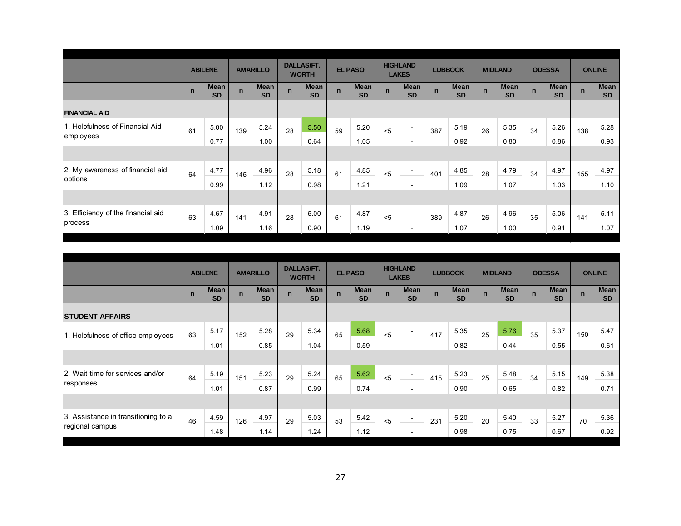|                                    |             | <b>ABILENE</b>           |             | <b>AMARILLO</b>          |             | <b>DALLAS/FT.</b><br><b>WORTH</b> |             | <b>EL PASO</b>           |             | <b>HIGHLAND</b><br><b>LAKES</b> |             | <b>LUBBOCK</b>    |             | <b>MIDLAND</b>           |             | <b>ODESSA</b>            |             | <b>ONLINE</b>            |
|------------------------------------|-------------|--------------------------|-------------|--------------------------|-------------|-----------------------------------|-------------|--------------------------|-------------|---------------------------------|-------------|-------------------|-------------|--------------------------|-------------|--------------------------|-------------|--------------------------|
|                                    | $\mathbf n$ | <b>Mean</b><br><b>SD</b> | $\mathbf n$ | <b>Mean</b><br><b>SD</b> | $\mathbf n$ | <b>Mean</b><br><b>SD</b>          | $\mathbf n$ | <b>Mean</b><br><b>SD</b> | $\mathbf n$ | <b>Mean</b><br><b>SD</b>        | $\mathbf n$ | Mean<br><b>SD</b> | $\mathbf n$ | <b>Mean</b><br><b>SD</b> | $\mathbf n$ | <b>Mean</b><br><b>SD</b> | $\mathbf n$ | <b>Mean</b><br><b>SD</b> |
| <b>FINANCIAL AID</b>               |             |                          |             |                          |             |                                   |             |                          |             |                                 |             |                   |             |                          |             |                          |             |                          |
| 1. Helpfulness of Financial Aid    | 61          | 5.00                     | 139         | 5.24                     | 28          | 5.50                              | 59          | 5.20                     | < 5         | $\overline{\phantom{0}}$        | 387         | 5.19              | 26          | 5.35                     | 34          | 5.26                     | 138         | 5.28                     |
| employees                          |             | 0.77                     |             | 1.00                     |             | 0.64                              |             | 1.05                     |             | $\overline{\phantom{a}}$        |             | 0.92              |             | 0.80                     |             | 0.86                     |             | 0.93                     |
|                                    |             |                          |             |                          |             |                                   |             |                          |             |                                 |             |                   |             |                          |             |                          |             |                          |
| 2. My awareness of financial aid   | 64          | 4.77                     | 145         | 4.96                     | 28          | 5.18                              | 61          | 4.85                     | < 5         | $\overline{\phantom{0}}$        | 401         | 4.85              | 28          | 4.79                     | 34          | 4.97                     | 155         | 4.97                     |
| options                            |             | 0.99                     |             | 1.12                     |             | 0.98                              |             | 1.21                     |             | $\overline{\phantom{a}}$        |             | 1.09              |             | 1.07                     |             | 1.03                     |             | 1.10                     |
|                                    |             |                          |             |                          |             |                                   |             |                          |             |                                 |             |                   |             |                          |             |                          |             |                          |
| 3. Efficiency of the financial aid | 63          | 4.67                     | 141         | 4.91                     | 28          | 5.00                              | 61          | 4.87                     | < 5         | $\overline{\phantom{0}}$        | 389         | 4.87              | 26          | 4.96                     | 35          | 5.06                     | 141         | 5.11                     |
| process                            |             | 1.09                     |             | 1.16                     |             | 0.90                              |             | 1.19                     |             | Ξ.                              |             | 1.07              |             | 1.00                     |             | 0.91                     |             | 1.07                     |

|                                     |             | <b>ABILENE</b>           |             | <b>AMARILLO</b>          |             | <b>DALLAS/FT.</b><br><b>WORTH</b> |             | <b>EL PASO</b>           |             | <b>HIGHLAND</b><br><b>LAKES</b> |             | <b>LUBBOCK</b>    |             | <b>MIDLAND</b>           |             | <b>ODESSA</b>            |              | <b>ONLINE</b>     |
|-------------------------------------|-------------|--------------------------|-------------|--------------------------|-------------|-----------------------------------|-------------|--------------------------|-------------|---------------------------------|-------------|-------------------|-------------|--------------------------|-------------|--------------------------|--------------|-------------------|
|                                     | $\mathbf n$ | <b>Mean</b><br><b>SD</b> | $\mathbf n$ | <b>Mean</b><br><b>SD</b> | $\mathbf n$ | Mean<br><b>SD</b>                 | $\mathbf n$ | <b>Mean</b><br><b>SD</b> | $\mathbf n$ | <b>Mean</b><br><b>SD</b>        | $\mathbf n$ | Mean<br><b>SD</b> | $\mathbf n$ | <b>Mean</b><br><b>SD</b> | $\mathbf n$ | <b>Mean</b><br><b>SD</b> | $\mathsf{n}$ | Mean<br><b>SD</b> |
| <b>STUDENT AFFAIRS</b>              |             |                          |             |                          |             |                                   |             |                          |             |                                 |             |                   |             |                          |             |                          |              |                   |
| 1. Helpfulness of office employees  | 63          | 5.17                     | 152         | 5.28                     | 29          | 5.34                              | 65          | 5.68                     | $5$         | ٠                               | 417         | 5.35              | 25          | 5.76                     | 35          | 5.37                     | 150          | 5.47              |
|                                     |             | 1.01                     |             | 0.85                     |             | 1.04                              |             | 0.59                     |             | $\overline{\phantom{0}}$        |             | 0.82              |             | 0.44                     |             | 0.55                     |              | 0.61              |
|                                     |             |                          |             |                          |             |                                   |             |                          |             |                                 |             |                   |             |                          |             |                          |              |                   |
| l2. Wait time for services and/or   | 64          | 5.19                     | 151         | 5.23                     | 29          | 5.24                              | 65          | 5.62                     | < 5         |                                 | 415         | 5.23              | 25          | 5.48                     | 34          | 5.15                     | 149          | 5.38              |
| responses                           |             | 1.01                     |             | 0.87                     |             | 0.99                              |             | 0.74                     |             | $\overline{\phantom{0}}$        |             | 0.90              |             | 0.65                     |             | 0.82                     |              | 0.71              |
|                                     |             |                          |             |                          |             |                                   |             |                          |             |                                 |             |                   |             |                          |             |                          |              |                   |
| 3. Assistance in transitioning to a | 46          | 4.59                     | 126         | 4.97                     | 29          | 5.03                              | 53          | 5.42                     | < 5         |                                 | 231         | 5.20              | 20          | 5.40                     | 33          | 5.27                     | 70           | 5.36              |
| regional campus                     |             | 1.48                     |             | 1.14                     |             | 1.24                              |             | 1.12                     |             |                                 |             | 0.98              |             | 0.75                     |             | 0.67                     |              | 0.92              |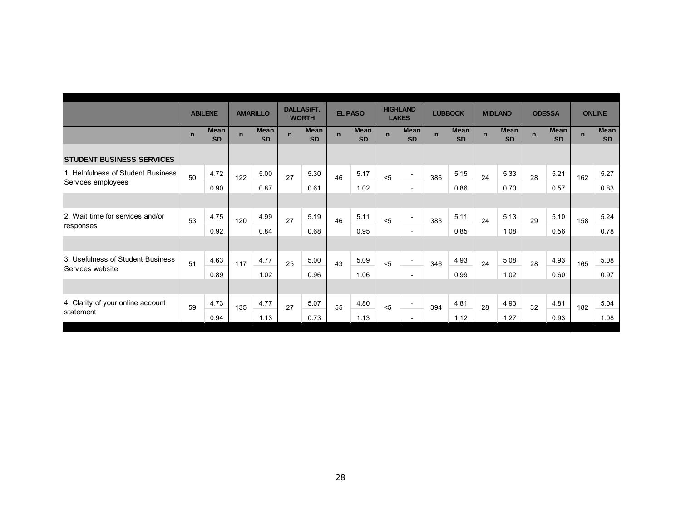|                                    |             | <b>ABILENE</b>           |             | <b>AMARILLO</b>          |              | <b>DALLAS/FT.</b>        |             | <b>EL PASO</b>           |             | <b>HIGHLAND</b>          |              | <b>LUBBOCK</b>           |             | <b>MIDLAND</b>           |              | <b>ODESSA</b>            |             | <b>ONLINE</b>            |
|------------------------------------|-------------|--------------------------|-------------|--------------------------|--------------|--------------------------|-------------|--------------------------|-------------|--------------------------|--------------|--------------------------|-------------|--------------------------|--------------|--------------------------|-------------|--------------------------|
|                                    |             |                          |             |                          |              | <b>WORTH</b>             |             |                          |             | <b>LAKES</b>             |              |                          |             |                          |              |                          |             |                          |
|                                    | $\mathbf n$ | <b>Mean</b><br><b>SD</b> | $\mathbf n$ | <b>Mean</b><br><b>SD</b> | $\mathbf{n}$ | <b>Mean</b><br><b>SD</b> | $\mathbf n$ | <b>Mean</b><br><b>SD</b> | $\mathbf n$ | <b>Mean</b><br><b>SD</b> | $\mathbf{n}$ | <b>Mean</b><br><b>SD</b> | $\mathbf n$ | <b>Mean</b><br><b>SD</b> | $\mathbf{n}$ | <b>Mean</b><br><b>SD</b> | $\mathbf n$ | <b>Mean</b><br><b>SD</b> |
| <b>STUDENT BUSINESS SERVICES</b>   |             |                          |             |                          |              |                          |             |                          |             |                          |              |                          |             |                          |              |                          |             |                          |
| 1. Helpfulness of Student Business | 50          | 4.72                     | 122         | 5.00                     | 27           | 5.30                     | 46          | 5.17                     | < 5         | $\overline{\phantom{a}}$ | 386          | 5.15                     | 24          | 5.33                     | 28           | 5.21                     | 162         | 5.27                     |
| Services employees                 |             | 0.90                     |             | 0.87                     |              | 0.61                     |             | 1.02                     |             | $\overline{\phantom{a}}$ |              | 0.86                     |             | 0.70                     |              | 0.57                     |             | 0.83                     |
|                                    |             |                          |             |                          |              |                          |             |                          |             |                          |              |                          |             |                          |              |                          |             |                          |
| 2. Wait time for services and/or   | 53          | 4.75                     | 120         | 4.99                     | 27           | 5.19                     | 46          | 5.11                     | < 5         |                          | 383          | 5.11                     | 24          | 5.13                     | 29           | 5.10                     | 158         | 5.24                     |
| responses                          |             | 0.92                     |             | 0.84                     |              | 0.68                     |             | 0.95                     |             | $\overline{\phantom{a}}$ |              | 0.85                     |             | 1.08                     |              | 0.56                     |             | 0.78                     |
|                                    |             |                          |             |                          |              |                          |             |                          |             |                          |              |                          |             |                          |              |                          |             |                          |
| 3. Usefulness of Student Business  | 51          | 4.63                     | 117         | 4.77                     | 25           | 5.00                     | 43          | 5.09                     | < 5         |                          | 346          | 4.93                     | 24          | 5.08                     | 28           | 4.93                     | 165         | 5.08                     |
| Services website                   |             | 0.89                     |             | 1.02                     |              | 0.96                     |             | 1.06                     |             | $\sim$                   |              | 0.99                     |             | 1.02                     |              | 0.60                     |             | 0.97                     |
|                                    |             |                          |             |                          |              |                          |             |                          |             |                          |              |                          |             |                          |              |                          |             |                          |
| 4. Clarity of your online account  | 59          | 4.73                     | 135         | 4.77                     | 27           | 5.07                     | 55          | 4.80                     | $5$         | $\overline{\phantom{a}}$ | 394          | 4.81                     | 28          | 4.93                     | 32           | 4.81                     | 182         | 5.04                     |
| statement                          |             | 0.94                     |             | 1.13                     |              | 0.73                     |             | 1.13                     |             |                          |              | 1.12                     |             | 1.27                     |              | 0.93                     |             | 1.08                     |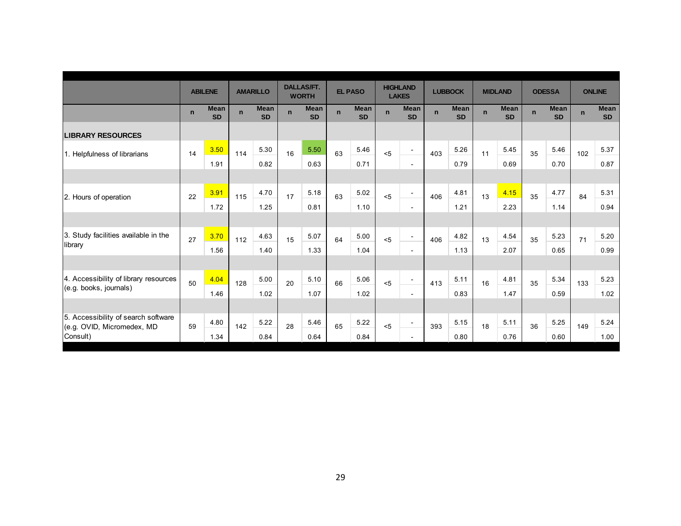|                                                                   |             | <b>ABILENE</b>           |              | <b>AMARILLO</b>          |             | <b>DALLAS/FT.</b><br><b>WORTH</b> |             | <b>EL PASO</b>           |             | <b>HIGHLAND</b><br><b>LAKES</b> |             | <b>LUBBOCK</b>           |             | <b>MIDLAND</b>           |             | <b>ODESSA</b>            | <b>ONLINE</b> |                          |
|-------------------------------------------------------------------|-------------|--------------------------|--------------|--------------------------|-------------|-----------------------------------|-------------|--------------------------|-------------|---------------------------------|-------------|--------------------------|-------------|--------------------------|-------------|--------------------------|---------------|--------------------------|
|                                                                   | $\mathbf n$ | <b>Mean</b><br><b>SD</b> | $\mathsf{n}$ | <b>Mean</b><br><b>SD</b> | $\mathbf n$ | <b>Mean</b><br><b>SD</b>          | $\mathbf n$ | <b>Mean</b><br><b>SD</b> | $\mathbf n$ | <b>Mean</b><br><b>SD</b>        | $\mathbf n$ | <b>Mean</b><br><b>SD</b> | $\mathbf n$ | <b>Mean</b><br><b>SD</b> | $\mathbf n$ | <b>Mean</b><br><b>SD</b> | $\mathbf n$   | <b>Mean</b><br><b>SD</b> |
| <b>LIBRARY RESOURCES</b>                                          |             |                          |              |                          |             |                                   |             |                          |             |                                 |             |                          |             |                          |             |                          |               |                          |
| 1. Helpfulness of librarians                                      | 14          | 3.50                     | 114          | 5.30                     | 16          | 5.50                              | 63          | 5.46                     | < 5         | $\sim$                          | 403         | 5.26                     | 11          | 5.45                     | 35          | 5.46                     | 102           | 5.37                     |
|                                                                   |             | 1.91                     |              | 0.82                     |             | 0.63                              |             | 0.71                     |             | $\sim$                          |             | 0.79                     |             | 0.69                     |             | 0.70                     |               | 0.87                     |
|                                                                   |             |                          |              |                          |             |                                   |             |                          |             |                                 |             |                          |             |                          |             |                          |               |                          |
| 2. Hours of operation                                             | 22          | 3.91                     | 115          | 4.70                     | 17          | 5.18                              | 63          | 5.02                     | $5$         | $\overline{\phantom{a}}$        | 406         | 4.81                     | 13          | 4.15                     | 35          | 4.77                     | 84            | 5.31                     |
|                                                                   |             | 1.72                     |              | 1.25                     |             | 0.81                              |             | 1.10                     |             | $\sim$                          |             | 1.21                     |             | 2.23                     |             | 1.14                     |               | 0.94                     |
|                                                                   |             |                          |              |                          |             |                                   |             |                          |             |                                 |             |                          |             |                          |             |                          |               |                          |
| 3. Study facilities available in the                              | 27          | 3.70                     | 112          | 4.63                     | 15          | 5.07                              | 64          | 5.00                     | < 5         | $\overline{\phantom{0}}$        | 406         | 4.82                     | 13          | 4.54                     | 35          | 5.23                     | 71            | 5.20                     |
| library                                                           |             | 1.56                     |              | 1.40                     |             | 1.33                              |             | 1.04                     |             | $\blacksquare$                  |             | 1.13                     |             | 2.07                     |             | 0.65                     |               | 0.99                     |
|                                                                   |             |                          |              |                          |             |                                   |             |                          |             |                                 |             |                          |             |                          |             |                          |               |                          |
| 4. Accessibility of library resources                             | 50          | 4.04                     | 128          | 5.00                     | 20          | 5.10                              | 66          | 5.06                     | < 5         | ÷                               | 413         | 5.11                     | 16          | 4.81                     | 35          | 5.34                     | 133           | 5.23                     |
| (e.g. books, journals)                                            |             | 1.46                     |              | 1.02                     |             | 1.07                              |             | 1.02                     |             | $\sim$                          |             | 0.83                     |             | 1.47                     |             | 0.59                     |               | 1.02                     |
|                                                                   |             |                          |              |                          |             |                                   |             |                          |             |                                 |             |                          |             |                          |             |                          |               |                          |
| 5. Accessibility of search software<br>(e.g. OVID, Micromedex, MD | 59          | 4.80                     | 142          | 5.22                     | 28          | 5.46                              | 65          | 5.22                     | $5$         | -                               | 393         | 5.15                     | 18          | 5.11                     | 36          | 5.25                     | 149           | 5.24                     |
| Consult)                                                          |             | 1.34                     |              | 0.84                     |             | 0.64                              |             | 0.84                     |             |                                 |             | 0.80                     |             | 0.76                     |             | 0.60                     |               | 1.00                     |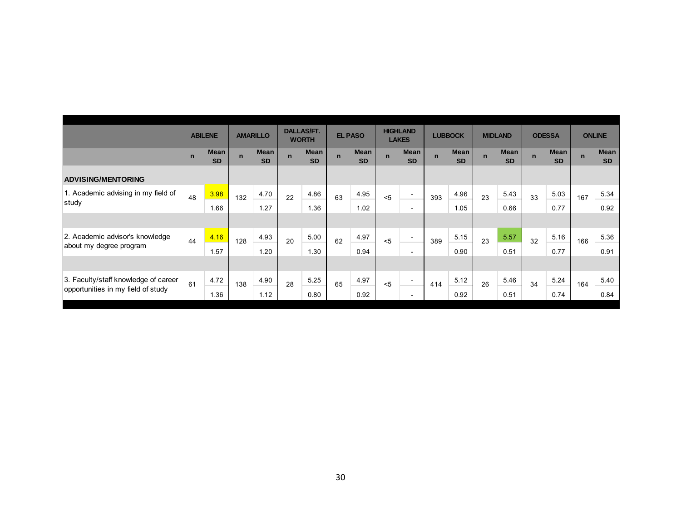|                                      |             | <b>ABILENE</b>           |              | <b>AMARILLO</b>   |             | <b>DALLAS/FT.</b><br><b>WORTH</b> |             | <b>EL PASO</b>           |             | <b>HIGHLAND</b><br><b>LAKES</b> |              | <b>LUBBOCK</b>    |              | <b>MIDLAND</b>    |             | <b>ODESSA</b>     |              | <b>ONLINE</b>            |
|--------------------------------------|-------------|--------------------------|--------------|-------------------|-------------|-----------------------------------|-------------|--------------------------|-------------|---------------------------------|--------------|-------------------|--------------|-------------------|-------------|-------------------|--------------|--------------------------|
|                                      | $\mathbf n$ | <b>Mean</b><br><b>SD</b> | $\mathbf{n}$ | Mean<br><b>SD</b> | $\mathbf n$ | <b>Mean</b><br><b>SD</b>          | $\mathbf n$ | <b>Mean</b><br><b>SD</b> | $\mathbf n$ | <b>Mean</b><br><b>SD</b>        | $\mathbf{n}$ | Mean<br><b>SD</b> | $\mathsf{n}$ | Mean<br><b>SD</b> | $\mathbf n$ | Mean<br><b>SD</b> | $\mathbf{n}$ | <b>Mean</b><br><b>SD</b> |
| <b>ADVISING/MENTORING</b>            |             |                          |              |                   |             |                                   |             |                          |             |                                 |              |                   |              |                   |             |                   |              |                          |
| 1. Academic advising in my field of  | 48          | 3.98                     | 132          | 4.70              | 22          | 4.86                              | 63          | 4.95                     | < 5         | $\overline{\phantom{a}}$        | 393          | 4.96              | 23           | 5.43              | 33          | 5.03              | 167          | 5.34                     |
| study                                |             | 1.66                     |              | 1.27              |             | 1.36                              |             | 1.02                     |             | $\overline{\phantom{0}}$        |              | 1.05              |              | 0.66              |             | 0.77              |              | 0.92                     |
|                                      |             |                          |              |                   |             |                                   |             |                          |             |                                 |              |                   |              |                   |             |                   |              |                          |
| 2. Academic advisor's knowledge      | 44          | 4.16                     | 128          | 4.93              | 20          | 5.00                              | 62          | 4.97                     | < 5         | $\overline{\phantom{0}}$        | 389          | 5.15              | 23           | 5.57              | 32          | 5.16              | 166          | 5.36                     |
| about my degree program              |             | 1.57                     |              | 1.20              |             | 1.30                              |             | 0.94                     |             | $\overline{\phantom{0}}$        |              | 0.90              |              | 0.51              |             | 0.77              |              | 0.91                     |
|                                      |             |                          |              |                   |             |                                   |             |                          |             |                                 |              |                   |              |                   |             |                   |              |                          |
| 3. Faculty/staff knowledge of career | 61          | 4.72                     | 138          | 4.90              | 28          | 5.25                              | 65          | 4.97                     | < 5         | $\overline{\phantom{0}}$        | 414          | 5.12              | 26           | 5.46              | 34          | 5.24              | 164          | 5.40                     |
| opportunities in my field of study   |             | 1.36                     |              | 1.12              |             | 0.80                              |             | 0.92                     |             | $\overline{\phantom{0}}$        |              | 0.92              |              | 0.51              |             | 0.74              |              | 0.84                     |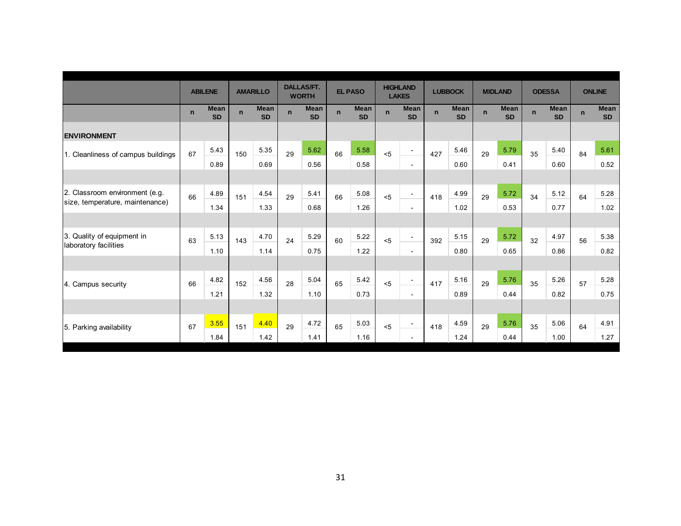|                                    |             | <b>ABILENE</b>           |             | <b>AMARILLO</b>          |              | <b>DALLAS/FT.</b><br><b>WORTH</b> |              | <b>EL PASO</b>           |             | <b>HIGHLAND</b><br><b>LAKES</b> |             | <b>LUBBOCK</b>           |             | <b>MIDLAND</b>           |             | <b>ODESSA</b>            |             | <b>ONLINE</b>            |
|------------------------------------|-------------|--------------------------|-------------|--------------------------|--------------|-----------------------------------|--------------|--------------------------|-------------|---------------------------------|-------------|--------------------------|-------------|--------------------------|-------------|--------------------------|-------------|--------------------------|
|                                    | $\mathbf n$ | <b>Mean</b><br><b>SD</b> | $\mathbf n$ | <b>Mean</b><br><b>SD</b> | $\mathbf{n}$ | <b>Mean</b><br><b>SD</b>          | $\mathbf{n}$ | <b>Mean</b><br><b>SD</b> | $\mathbf n$ | <b>Mean</b><br><b>SD</b>        | $\mathbf n$ | <b>Mean</b><br><b>SD</b> | $\mathbf n$ | <b>Mean</b><br><b>SD</b> | $\mathbf n$ | <b>Mean</b><br><b>SD</b> | $\mathbf n$ | <b>Mean</b><br><b>SD</b> |
| <b>ENVIRONMENT</b>                 |             |                          |             |                          |              |                                   |              |                          |             |                                 |             |                          |             |                          |             |                          |             |                          |
| 1. Cleanliness of campus buildings | 67          | 5.43                     | 150         | 5.35                     | 29           | 5.62                              | 66           | 5.58                     | < 5         | $\sim$                          | 427         | 5.46                     | 29          | 5.79                     | 35          | 5.40                     | 84          | 5.61                     |
|                                    |             | 0.89                     |             | 0.69                     |              | 0.56                              |              | 0.58                     |             | $\overline{\phantom{a}}$        |             | 0.60                     |             | 0.41                     |             | 0.60                     |             | 0.52                     |
|                                    |             |                          |             |                          |              |                                   |              |                          |             |                                 |             |                          |             |                          |             |                          |             |                          |
| 2. Classroom environment (e.g.     | 66          | 4.89                     | 151         | 4.54                     | 29           | 5.41                              | 66           | 5.08                     | < 5         | $\blacksquare$                  | 418         | 4.99                     | 29          | 5.72                     | 34          | 5.12                     | 64          | 5.28                     |
| size, temperature, maintenance)    |             | 1.34                     |             | 1.33                     |              | 0.68                              |              | 1.26                     |             | $\sim$                          |             | 1.02                     |             | 0.53                     |             | 0.77                     |             | 1.02                     |
|                                    |             |                          |             |                          |              |                                   |              |                          |             |                                 |             |                          |             |                          |             |                          |             |                          |
| 3. Quality of equipment in         | 63          | 5.13                     | 143         | 4.70                     | 24           | 5.29                              | 60           | 5.22                     | < 5         | $\blacksquare$                  | 392         | 5.15                     | 29          | 5.72                     | 32          | 4.97                     | 56          | 5.38                     |
| laboratory facilities              |             | 1.10                     |             | 1.14                     |              | 0.75                              |              | 1.22                     |             | $\overline{a}$                  |             | 0.80                     |             | 0.65                     |             | 0.86                     |             | 0.82                     |
|                                    |             |                          |             |                          |              |                                   |              |                          |             |                                 |             |                          |             |                          |             |                          |             |                          |
| 4. Campus security                 | 66          | 4.82                     | 152         | 4.56                     | 28           | 5.04                              | 65           | 5.42                     | < 5         | $\overline{\phantom{a}}$        | 417         | 5.16                     | 29          | 5.76                     | 35          | 5.26                     | 57          | 5.28                     |
|                                    |             | 1.21                     |             | 1.32                     |              | 1.10                              |              | 0.73                     |             | $\sim$                          |             | 0.89                     |             | 0.44                     |             | 0.82                     |             | 0.75                     |
|                                    |             |                          |             |                          |              |                                   |              |                          |             |                                 |             |                          |             |                          |             |                          |             |                          |
| 5. Parking availability            | 67          | 3.55                     | 151         | 4.40                     | 29           | 4.72                              | 65           | 5.03                     | $5$         | $\overline{\phantom{a}}$        | 418         | 4.59                     | 29          | 5.76                     | 35          | 5.06                     | 64          | 4.91                     |
|                                    |             | 1.84                     |             | 1.42                     |              | 1.41                              |              | 1.16                     |             |                                 |             | 1.24                     |             | 0.44                     |             | 1.00                     |             | 1.27                     |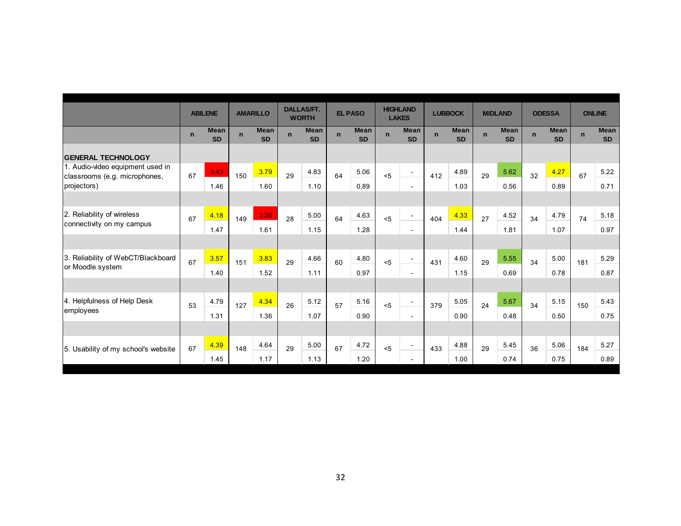|                                                                   |             | <b>ABILENE</b>           |             | <b>AMARILLO</b>          |                | <b>DALLAS/FT.</b><br><b>WORTH</b> |             | <b>EL PASO</b>           |              | <b>HIGHLAND</b><br><b>LAKES</b> |              | <b>LUBBOCK</b>           |             | <b>MIDLAND</b>           |             | <b>ODESSA</b>            |             | <b>ONLINE</b>            |
|-------------------------------------------------------------------|-------------|--------------------------|-------------|--------------------------|----------------|-----------------------------------|-------------|--------------------------|--------------|---------------------------------|--------------|--------------------------|-------------|--------------------------|-------------|--------------------------|-------------|--------------------------|
|                                                                   | $\mathbf n$ | <b>Mean</b><br><b>SD</b> | $\mathbf n$ | <b>Mean</b><br><b>SD</b> | $\overline{p}$ | <b>Mean</b><br><b>SD</b>          | $\mathbf n$ | <b>Mean</b><br><b>SD</b> | $\mathbf{n}$ | <b>Mean</b><br><b>SD</b>        | $\mathbf{n}$ | <b>Mean</b><br><b>SD</b> | $\mathbf n$ | <b>Mean</b><br><b>SD</b> | $\mathbf n$ | <b>Mean</b><br><b>SD</b> | $\mathbf n$ | <b>Mean</b><br><b>SD</b> |
| <b>GENERAL TECHNOLOGY</b>                                         |             |                          |             |                          |                |                                   |             |                          |              |                                 |              |                          |             |                          |             |                          |             |                          |
| 1. Audio-video equipment used in<br>classrooms (e.g. microphones, | 67          | 3.43                     | 150         | 3.79                     | 29             | 4.83                              | 64          | 5.06                     | < 5          | $\blacksquare$                  | 412          | 4.89                     | 29          | 5.62                     | 32          | 4.27                     | 67          | 5.22                     |
| projectors)                                                       |             | 1.46                     |             | 1.60                     |                | 1.10                              |             | 0.89                     |              | $\sim$                          |              | 1.03                     |             | 0.56                     |             | 0.89                     |             | 0.71                     |
|                                                                   |             |                          |             |                          |                |                                   |             |                          |              |                                 |              |                          |             |                          |             |                          |             |                          |
| 2. Reliability of wireless                                        | 67          | 4.18                     | 149         | 3.30                     | 28             | 5.00                              | 64          | 4.63                     | < 5          | $\overline{\phantom{a}}$        | 404          | 4.33                     | 27          | 4.52                     | 34          | 4.79                     | 74          | 5.18                     |
| connectivity on my campus                                         |             | 1.47                     |             | 1.61                     |                | 1.15                              |             | 1.28                     |              | $\sim$                          |              | 1.44                     |             | 1.81                     |             | 1.07                     |             | 0.97                     |
|                                                                   |             |                          |             |                          |                |                                   |             |                          |              |                                 |              |                          |             |                          |             |                          |             |                          |
| 3. Reliability of WebCT/Blackboard                                | 67          | 3.57                     | 151         | 3.83                     | 29             | 4.66                              | 60          | 4.80                     | < 5          |                                 | 431          | 4.60                     | 29          | 5.55                     | 34          | 5.00                     | 181         | 5.29                     |
| or Moodle system                                                  |             | 1.40                     |             | 1.52                     |                | 1.11                              |             | 0.97                     |              | $\sim$                          |              | 1.15                     |             | 0.69                     |             | 0.78                     |             | 0.87                     |
|                                                                   |             |                          |             |                          |                |                                   |             |                          |              |                                 |              |                          |             |                          |             |                          |             |                          |
| 4. Helpfulness of Help Desk                                       | 53          | 4.79                     | 127         | 4.34                     | 26             | 5.12                              | 57          | 5.16                     | 5            |                                 | 379          | 5.05                     | 24          | 5.67                     | 34          | 5.15                     | 150         | 5.43                     |
| employees                                                         |             | 1.31                     |             | 1.36                     |                | 1.07                              |             | 0.90                     |              | $\sim$                          |              | 0.90                     |             | 0.48                     |             | 0.50                     |             | 0.75                     |
|                                                                   |             |                          |             |                          |                |                                   |             |                          |              |                                 |              |                          |             |                          |             |                          |             |                          |
| 5. Usability of my school's website                               | 67          | 4.39                     | 148         | 4.64                     | 29             | 5.00                              | 67          | 4.72                     | < 5          |                                 | 433          | 4.88                     | 29          | 5.45                     | 36          | 5.06                     | 184         | 5.27                     |
|                                                                   |             | 1.45                     |             | 1.17                     |                | 1.13                              |             | 1.20                     |              |                                 |              | 1.00                     |             | 0.74                     |             | 0.75                     |             | 0.89                     |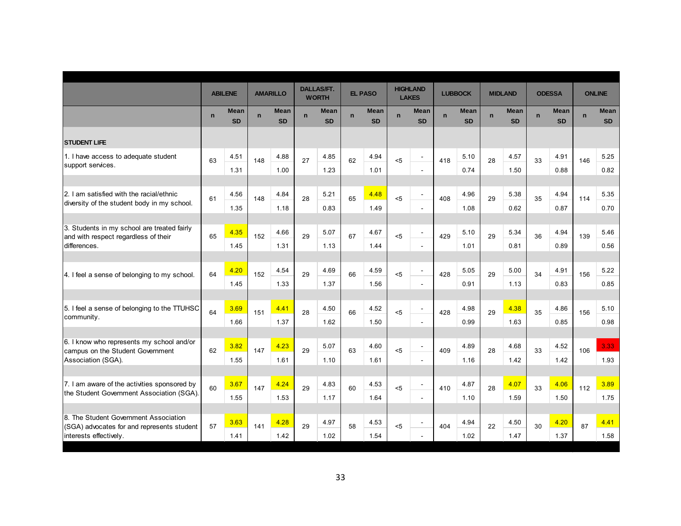|                                                                                                               |             | <b>ABILENE</b>    |             | <b>AMARILLO</b>          |             | <b>DALLAS/FT.</b><br><b>WORTH</b> |              | <b>EL PASO</b>           |              | <b>HIGHLAND</b><br><b>LAKES</b>            |             | <b>LUBBOCK</b>           |             | <b>MIDLAND</b>           |              | <b>ODESSA</b>            |             | <b>ONLINE</b>            |
|---------------------------------------------------------------------------------------------------------------|-------------|-------------------|-------------|--------------------------|-------------|-----------------------------------|--------------|--------------------------|--------------|--------------------------------------------|-------------|--------------------------|-------------|--------------------------|--------------|--------------------------|-------------|--------------------------|
|                                                                                                               | $\mathbf n$ | Mean<br><b>SD</b> | $\mathbf n$ | <b>Mean</b><br><b>SD</b> | $\mathbf n$ | <b>Mean</b><br><b>SD</b>          | $\mathsf{n}$ | <b>Mean</b><br><b>SD</b> | $\mathsf{n}$ | <b>Mean</b><br><b>SD</b>                   | $\mathbf n$ | <b>Mean</b><br><b>SD</b> | $\mathbf n$ | <b>Mean</b><br><b>SD</b> | $\mathsf{n}$ | <b>Mean</b><br><b>SD</b> | $\mathbf n$ | <b>Mean</b><br><b>SD</b> |
| <b>STUDENT LIFE</b>                                                                                           |             |                   |             |                          |             |                                   |              |                          |              |                                            |             |                          |             |                          |              |                          |             |                          |
| 1. I have access to adequate student<br>support services.                                                     | 63          | 4.51<br>1.31      | 148         | 4.88<br>1.00             | 27          | 4.85<br>1.23                      | 62           | 4.94<br>1.01             | $5$          | $\blacksquare$<br>÷                        | 418         | 5.10<br>0.74             | 28          | 4.57<br>1.50             | 33           | 4.91<br>0.88             | 146         | 5.25<br>0.82             |
| 2. I am satisfied with the racial/ethnic<br>diversity of the student body in my school.                       | 61          | 4.56<br>1.35      | 148         | 4.84<br>1.18             | 28          | 5.21<br>0.83                      | 65           | 4.48<br>1.49             | < 5          | $\blacksquare$<br>$\sim$                   | 408         | 4.96<br>1.08             | 29          | 5.38<br>0.62             | 35           | 4.94<br>0.87             | 114         | 5.35<br>0.70             |
| 3. Students in my school are treated fairly<br>and with respect regardless of their<br>differences.           | 65          | 4.35<br>1.45      | 152         | 4.66<br>1.31             | 29          | 5.07<br>1.13                      | 67           | 4.67<br>1.44             | < 5          | $\overline{\phantom{a}}$<br>$\blacksquare$ | 429         | 5.10<br>1.01             | 29          | 5.34<br>0.81             | 36           | 4.94<br>0.89             | 139         | 5.46<br>0.56             |
| 4. I feel a sense of belonging to my school.                                                                  | 64          | 4.20<br>1.45      | 152         | 4.54<br>1.33             | 29          | 4.69<br>1.37                      | 66           | 4.59<br>1.56             | 5            | $\overline{\phantom{a}}$<br>$\blacksquare$ | 428         | 5.05<br>0.91             | 29          | 5.00<br>1.13             | 34           | 4.91<br>0.83             | 156         | 5.22<br>0.85             |
| 5. I feel a sense of belonging to the TTUHSC<br>community.                                                    | 64          | 3.69<br>1.66      | 151         | 4.41<br>1.37             | 28          | 4.50<br>1.62                      | 66           | 4.52<br>1.50             | 5            | $\sim$<br>÷                                | 428         | 4.98<br>0.99             | 29          | 4.38<br>1.63             | 35           | 4.86<br>0.85             | 156         | 5.10<br>0.98             |
| 6. I know who represents my school and/or<br>campus on the Student Government<br>Association (SGA).           | 62          | 3.82<br>1.55      | 147         | 4.23<br>1.61             | 29          | 5.07<br>1.10                      | 63           | 4.60<br>1.61             | < 5          | $\overline{\phantom{a}}$<br>$\sim$         | 409         | 4.89<br>1.16             | 28          | 4.68<br>1.42             | 33           | 4.52<br>1.42             | 106         | 3.33<br>1.93             |
| 7. I am aware of the activities sponsored by<br>the Student Government Association (SGA).                     | 60          | 3.67<br>1.55      | 147         | 4.24<br>1.53             | 29          | 4.83<br>1.17                      | 60           | 4.53<br>1.64             | < 5          | $\blacksquare$<br>$\sim$                   | 410         | 4.87<br>1.10             | 28          | 4.07<br>1.59             | 33           | 4.06<br>1.50             | 112         | 3.89<br>1.75             |
| 8. The Student Government Association<br>(SGA) advocates for and represents student<br>interests effectively. | 57          | 3.63<br>1.41      | 141         | 4.28<br>1.42             | 29          | 4.97<br>1.02                      | 58           | 4.53<br>1.54             | $5$          | $\sim$<br>$\sim$                           | 404         | 4.94<br>1.02             | 22          | 4.50<br>1.47             | 30           | 4.20<br>1.37             | 87          | 4.41<br>1.58             |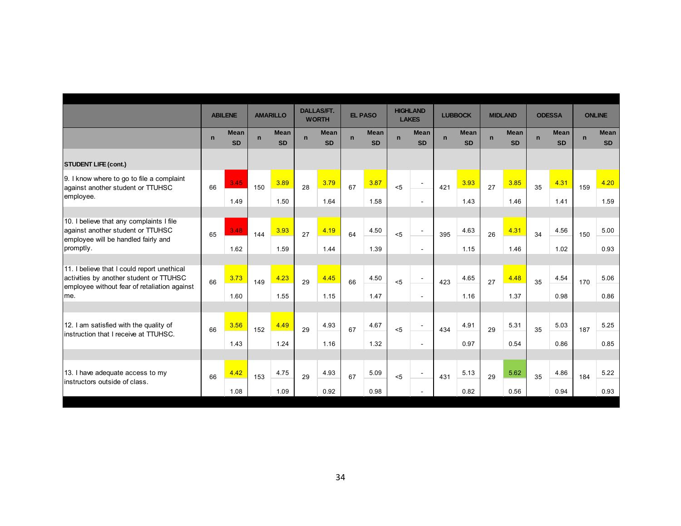|                                                                                                                                               | <b>ABILENE</b> |                          | <b>AMARILLO</b> |                          | <b>DALLAS/FT.</b><br><b>WORTH</b> |                          | <b>EL PASO</b> |                          | <b>HIGHLAND</b><br><b>LAKES</b> |                          | <b>LUBBOCK</b> |                          | <b>MIDLAND</b> |                          | <b>ODESSA</b> |                          | <b>ONLINE</b> |                          |  |
|-----------------------------------------------------------------------------------------------------------------------------------------------|----------------|--------------------------|-----------------|--------------------------|-----------------------------------|--------------------------|----------------|--------------------------|---------------------------------|--------------------------|----------------|--------------------------|----------------|--------------------------|---------------|--------------------------|---------------|--------------------------|--|
|                                                                                                                                               | $\mathbf n$    | <b>Mean</b><br><b>SD</b> | $\mathbf n$     | <b>Mean</b><br><b>SD</b> | $\mathbf n$                       | <b>Mean</b><br><b>SD</b> | $\mathsf{n}$   | <b>Mean</b><br><b>SD</b> | $\mathbf n$                     | <b>Mean</b><br><b>SD</b> | $\mathbf n$    | <b>Mean</b><br><b>SD</b> | $\mathbf n$    | <b>Mean</b><br><b>SD</b> | $\mathbf n$   | <b>Mean</b><br><b>SD</b> | $\mathsf{n}$  | <b>Mean</b><br><b>SD</b> |  |
| <b>STUDENT LIFE (cont.)</b>                                                                                                                   |                |                          |                 |                          |                                   |                          |                |                          |                                 |                          |                |                          |                |                          |               |                          |               |                          |  |
| 9. I know where to go to file a complaint<br>against another student or TTUHSC<br>employee.                                                   | 66             | 3.45                     | 150             | 3.89                     | 28                                | 3.79                     | 67             | 3.87                     | $5$                             | $\overline{\phantom{a}}$ | 421            | 3.93                     | 27             | 3.85                     | 35            | 4.31                     | 159           | 4.20                     |  |
|                                                                                                                                               |                | 1.49                     |                 | 1.50                     |                                   | 1.64                     |                | 1.58                     |                                 | $\overline{\phantom{a}}$ |                | 1.43                     |                | 1.46                     |               | 1.41                     |               | 1.59                     |  |
| 10. I believe that any complaints I file<br>against another student or TTUHSC<br>employee will be handled fairly and<br>promptly.             | 65             | 3.48                     | 144             | 3.93                     | 27                                | 4.19                     | 64             | 4.50                     | < 5                             | $\sim$                   | 395            | 4.63                     | 26             | 4.31                     | 34            | 4.56                     | 150           | 5.00                     |  |
|                                                                                                                                               |                | 1.62                     |                 | 1.59                     |                                   | 1.44                     |                | 1.39                     |                                 | $\sim$                   |                | 1.15                     |                | 1.46                     |               | 1.02                     |               | 0.93                     |  |
| 11. I believe that I could report unethical<br>activities by another student or TTUHSC<br>employee without fear of retaliation against<br>me. | 66             | 3.73                     | 149             | 4.23                     | 29                                | 4.45                     | 66             | 4.50                     | $5$                             | $\overline{\phantom{a}}$ | 423            | 4.65                     | 27             | 4.48                     | 35            | 4.54                     | 170           | 5.06                     |  |
|                                                                                                                                               |                | 1.60                     |                 | 1.55                     |                                   | 1.15                     |                | 1.47                     |                                 | $\overline{\phantom{a}}$ |                | 1.16                     |                | 1.37                     |               | 0.98                     |               | 0.86                     |  |
| 12. I am satisfied with the quality of<br>instruction that I receive at TTUHSC.                                                               | 66             | 3.56                     | 152             | 4.49                     | 29                                | 4.93                     | 67             | 4.67                     | $5$                             | $\sim$                   | 434            | 4.91                     | 5.31<br>29     | 35                       | 5.03          | 187                      | 5.25          |                          |  |
|                                                                                                                                               |                | 1.43                     |                 | 1.24                     |                                   | 1.16                     |                | 1.32                     |                                 | $\sim$                   |                | 0.97                     |                | 0.54                     |               | 0.86                     |               | 0.85                     |  |
|                                                                                                                                               |                |                          |                 |                          |                                   |                          |                |                          |                                 |                          |                |                          |                |                          |               |                          |               |                          |  |
| 13. I have adequate access to my<br>instructors outside of class.                                                                             | 66             | 4.42                     | 153             | 4.75                     | 29                                | 4.93                     | 67             | 5.09                     | < 5                             | $\overline{\phantom{a}}$ | 431            | 5.13                     | 29             | 5.62                     | 35            | 4.86                     | 184           | 5.22                     |  |
|                                                                                                                                               |                | 1.08                     |                 | 1.09                     |                                   | 0.92                     |                | 0.98                     |                                 | $\sim$                   |                | 0.82                     |                | 0.56                     |               | 0.94                     |               | 0.93                     |  |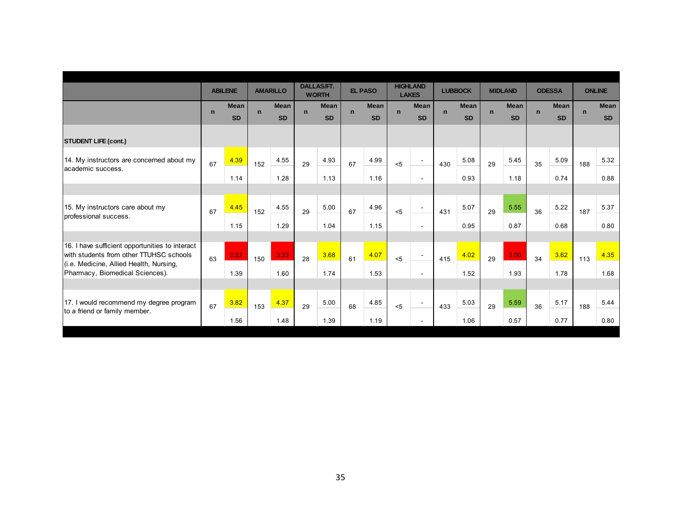|                                                                                                                                                                          |                |                          |                 |                          | <b>DALLAS/FT.</b> |                          |                |                          | <b>HIGHLAND</b> |                          |                |                          |                |                          |               |                          |               |                          |
|--------------------------------------------------------------------------------------------------------------------------------------------------------------------------|----------------|--------------------------|-----------------|--------------------------|-------------------|--------------------------|----------------|--------------------------|-----------------|--------------------------|----------------|--------------------------|----------------|--------------------------|---------------|--------------------------|---------------|--------------------------|
|                                                                                                                                                                          | <b>ABILENE</b> |                          | <b>AMARILLO</b> |                          | <b>WORTH</b>      |                          | <b>EL PASO</b> |                          | <b>LAKES</b>    |                          | <b>LUBBOCK</b> |                          | <b>MIDLAND</b> |                          | <b>ODESSA</b> |                          | <b>ONLINE</b> |                          |
|                                                                                                                                                                          | $\mathbf n$    | <b>Mean</b><br><b>SD</b> | $\mathbf n$     | <b>Mean</b><br><b>SD</b> | $\mathsf{n}$      | <b>Mean</b><br><b>SD</b> | $\mathbf n$    | <b>Mean</b><br><b>SD</b> | $\mathbf n$     | <b>Mean</b><br><b>SD</b> | $\mathbf n$    | <b>Mean</b><br><b>SD</b> | $\mathbf n$    | <b>Mean</b><br><b>SD</b> | $\mathbf n$   | <b>Mean</b><br><b>SD</b> | $\mathbf n$   | <b>Mean</b><br><b>SD</b> |
| <b>STUDENT LIFE (cont.)</b>                                                                                                                                              |                |                          |                 |                          |                   |                          |                |                          |                 |                          |                |                          |                |                          |               |                          |               |                          |
| 14. My instructors are concerned about my<br>academic success.                                                                                                           | 67             | 4.39                     | 152             | 4.55                     | 29                | 4.93                     | 67             | 4.99                     | < 5             | $\overline{\phantom{a}}$ | 430            | 5.08                     | 29             | 5.45                     | 35            | 5.09                     | 188           | 5.32                     |
|                                                                                                                                                                          |                | 1.14                     |                 | 1.28                     |                   | 1.13                     |                | 1.16                     |                 | $\sim$                   |                | 0.93                     |                | 1.18                     |               | 0.74                     |               | 0.88                     |
|                                                                                                                                                                          |                |                          |                 |                          |                   |                          |                |                          |                 |                          |                |                          |                |                          |               |                          |               |                          |
| 15. My instructors care about my<br>professional success.                                                                                                                | 67             | 4.45                     | 152             | 4.55                     | 29                | 5.00                     | 67             | 4.96                     | $<$ 5           | $\overline{\phantom{a}}$ | 431            | 5.07                     | 29             | 5.55                     | 36            | 5.22                     | 187           | 5.37                     |
|                                                                                                                                                                          |                | 1.15                     |                 | 1.29                     |                   | 1.04                     |                | 1.15                     |                 | $\sim$                   |                | 0.95                     |                | 0.87                     |               | 0.68                     |               | 0.80                     |
|                                                                                                                                                                          |                |                          |                 |                          |                   |                          |                |                          |                 |                          |                |                          |                |                          |               |                          |               |                          |
| 16. I have sufficient opportunities to interact<br>with students from other TTUHSC schools<br>(i.e. Medicine, Allied Health, Nursing,<br>Pharmacy, Biomedical Sciences). | 63             | 2.52                     | 150             | 3.33                     | 28                | 3.68                     | 61             | 4.07                     | < 5             | $\sim$                   | 415            | 4.02                     | 29             | 3.00                     | 34            | 3.62                     | 113           | 4.35                     |
|                                                                                                                                                                          |                | 1.39                     |                 | 1.60                     |                   | 1.74                     |                | 1.53                     |                 | $\sim$                   |                | 1.52                     |                | 1.93                     |               | 1.78                     |               | 1.68                     |
|                                                                                                                                                                          |                |                          |                 |                          |                   |                          |                |                          |                 |                          |                |                          |                |                          |               |                          |               |                          |
| 17. I would recommend my degree program<br>to a friend or family member.                                                                                                 | 67             | 3.82                     | 153             | 4.37                     | 29                | 5.00                     | 68             | 4.85                     | < 5             | $\sim$                   | 433            | 5.03                     | 29             | 5.59                     | 36            | 5.17                     | 188           | 5.44                     |
|                                                                                                                                                                          |                | 1.56                     |                 | 1.48                     |                   | 1.39                     |                | 1.19                     |                 | $\sim$                   |                | 1.06                     |                | 0.57                     |               | 0.77                     |               | 0.80                     |